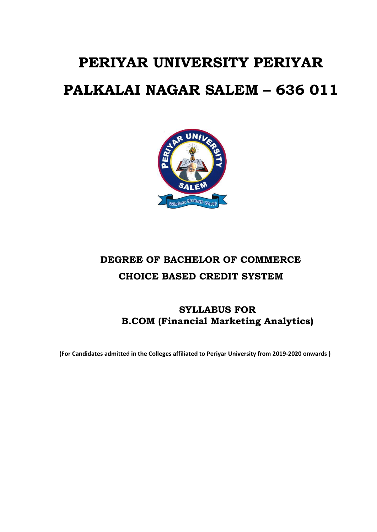# **PERIYAR UNIVERSITY PERIYAR PALKALAI NAGAR SALEM – 636 011**



## **DEGREE OF BACHELOR OF COMMERCE CHOICE BASED CREDIT SYSTEM**

## **SYLLABUS FOR B.COM (Financial Marketing Analytics)**

**(For Candidates admitted in the Colleges affiliated to Periyar University from 2019-2020 onwards )**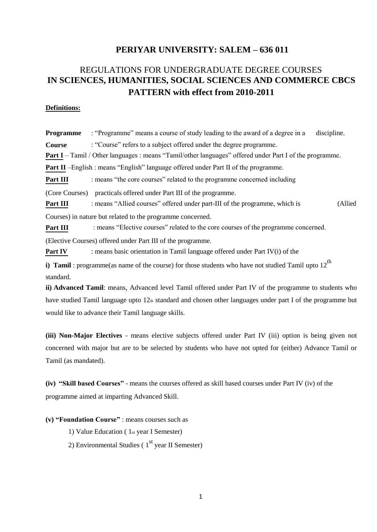#### **PERIYAR UNIVERSITY: SALEM – 636 011**

## REGULATIONS FOR UNDERGRADUATE DEGREE COURSES **IN SCIENCES, HUMANITIES, SOCIAL SCIENCES AND COMMERCE CBCS PATTERN with effect from 2010-2011**

#### **Definitions:**

**Programme** : "Programme" means a course of study leading to the award of a degree in a discipline. **Course** : "Course" refers to a subject offered under the degree programme. **Part I** – Tamil / Other languages : means "Tamil/other languages" offered under Part I of the programme. **Part II** –English : means "English" language offered under Part II of the programme. **Part III** : means "the core courses" related to the programme concerned including (Core Courses) practicals offered under Part III of the programme. **Part III** : means "Allied courses" offered under part-III of the programme, which is (Allied Courses) in nature but related to the programme concerned. **Part III** : means "Elective courses" related to the core courses of the programme concerned. (Elective Courses) offered under Part III of the programme. **Part IV** : means basic orientation in Tamil language offered under Part IV(i) of the **i) Tamil** : programme(as name of the course) for those students who have not studied Tamil upto  $12^{th}$ standard. **ii) Advanced Tamil**: means, Advanced level Tamil offered under Part IV of the programme to students who

have studied Tamil language upto 12th standard and chosen other languages under part I of the programme but would like to advance their Tamil language skills.

**(iii) Non-Major Electives** - means elective subjects offered under Part IV (iii) option is being given not concerned with major but are to be selected by students who have not opted for (either) Advance Tamil or Tamil (as mandated).

**(iv) "Skill based Courses"** - means the courses offered as skill based courses under Part IV (iv) of the programme aimed at imparting Advanced Skill.

**(v) "Foundation Course"** : means courses such as

1) Value Education ( 1st year I Semester)

2) Environmental Studies ( $1<sup>st</sup>$  year II Semester)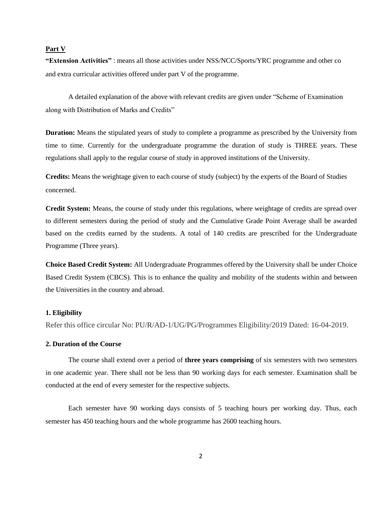#### **Part V**

**―Extension Activities‖** : means all those activities under NSS/NCC/Sports/YRC programme and other co and extra curricular activities offered under part V of the programme.

A detailed explanation of the above with relevant credits are given under "Scheme of Examination" along with Distribution of Marks and Credits"

**Duration:** Means the stipulated years of study to complete a programme as prescribed by the University from time to time. Currently for the undergraduate programme the duration of study is THREE years. These regulations shall apply to the regular course of study in approved institutions of the University.

**Credits:** Means the weightage given to each course of study (subject) by the experts of the Board of Studies concerned.

**Credit System:** Means, the course of study under this regulations, where weightage of credits are spread over to different semesters during the period of study and the Cumulative Grade Point Average shall be awarded based on the credits earned by the students. A total of 140 credits are prescribed for the Undergraduate Programme (Three years).

**Choice Based Credit System:** All Undergraduate Programmes offered by the University shall be under Choice Based Credit System (CBCS). This is to enhance the quality and mobility of the students within and between the Universities in the country and abroad.

#### **1. Eligibility**

Refer this office circular No: PU/R/AD-1/UG/PG/Programmes Eligibility/2019 Dated: 16-04-2019.

#### **2. Duration of the Course**

The course shall extend over a period of **three years comprising** of six semesters with two semesters in one academic year. There shall not be less than 90 working days for each semester. Examination shall be conducted at the end of every semester for the respective subjects.

Each semester have 90 working days consists of 5 teaching hours per working day. Thus, each semester has 450 teaching hours and the whole programme has 2600 teaching hours.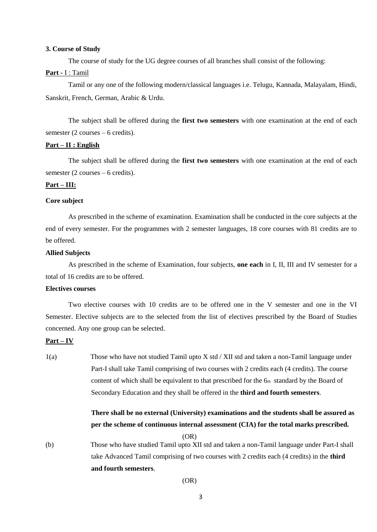#### **3. Course of Study**

The course of study for the UG degree courses of all branches shall consist of the following:

#### Part - I : Tamil

Tamil or any one of the following modern/classical languages i.e. Telugu, Kannada, Malayalam, Hindi, Sanskrit, French, German, Arabic & Urdu.

The subject shall be offered during the **first two semesters** with one examination at the end of each semester (2 courses – 6 credits).

#### **Part – II : English**

The subject shall be offered during the **first two semesters** with one examination at the end of each semester (2 courses – 6 credits).

#### **Part – III:**

#### **Core subject**

As prescribed in the scheme of examination. Examination shall be conducted in the core subjects at the end of every semester. For the programmes with 2 semester languages, 18 core courses with 81 credits are to be offered.

#### **Allied Subjects**

As prescribed in the scheme of Examination, four subjects, **one each** in I, II, III and IV semester for a total of 16 credits are to be offered.

#### **Electives courses**

Two elective courses with 10 credits are to be offered one in the V semester and one in the VI Semester. Elective subjects are to the selected from the list of electives prescribed by the Board of Studies concerned. Any one group can be selected.

#### **Part – IV**

1(a) Those who have not studied Tamil upto X std / XII std and taken a non-Tamil language under Part-I shall take Tamil comprising of two courses with 2 credits each (4 credits). The course content of which shall be equivalent to that prescribed for the 6th standard by the Board of Secondary Education and they shall be offered in the **third and fourth semesters**.

### **There shall be no external (University) examinations and the students shall be assured as per the scheme of continuous internal assessment (CIA) for the total marks prescribed.**

(OR)

(b) Those who have studied Tamil upto XII std and taken a non-Tamil language under Part-I shall take Advanced Tamil comprising of two courses with 2 credits each (4 credits) in the **third and fourth semesters**.

(OR)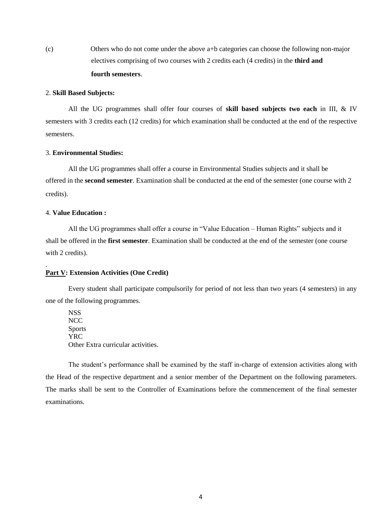(c) Others who do not come under the above a+b categories can choose the following non-major electives comprising of two courses with 2 credits each (4 credits) in the **third and fourth semesters**.

#### 2. **Skill Based Subjects:**

All the UG programmes shall offer four courses of **skill based subjects two each** in III, & IV semesters with 3 credits each (12 credits) for which examination shall be conducted at the end of the respective semesters.

#### 3. **Environmental Studies:**

All the UG programmes shall offer a course in Environmental Studies subjects and it shall be offered in the **second semester**. Examination shall be conducted at the end of the semester (one course with 2 credits).

#### 4. **Value Education :**

.

All the UG programmes shall offer a course in "Value Education – Human Rights" subjects and it shall be offered in the **first semester**. Examination shall be conducted at the end of the semester (one course with 2 credits).

#### **Part V: Extension Activities (One Credit)**

Every student shall participate compulsorily for period of not less than two years (4 semesters) in any one of the following programmes.

**NSS NCC** Sports YRC Other Extra curricular activities.

The student's performance shall be examined by the staff in-charge of extension activities along with the Head of the respective department and a senior member of the Department on the following parameters. The marks shall be sent to the Controller of Examinations before the commencement of the final semester examinations.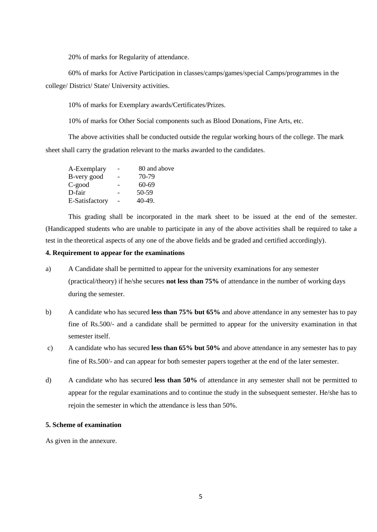20% of marks for Regularity of attendance.

60% of marks for Active Participation in classes/camps/games/special Camps/programmes in the college/ District/ State/ University activities.

10% of marks for Exemplary awards/Certificates/Prizes.

10% of marks for Other Social components such as Blood Donations, Fine Arts, etc.

The above activities shall be conducted outside the regular working hours of the college. The mark sheet shall carry the gradation relevant to the marks awarded to the candidates.

| A-Exemplary    |   | 80 and above |
|----------------|---|--------------|
| B-very good    |   | 70-79        |
| C-good         | - | 60-69        |
| D-fair         |   | 50-59        |
| E-Satisfactory |   | $40-49.$     |

This grading shall be incorporated in the mark sheet to be issued at the end of the semester. (Handicapped students who are unable to participate in any of the above activities shall be required to take a test in the theoretical aspects of any one of the above fields and be graded and certified accordingly).

#### **4. Requirement to appear for the examinations**

- a) A Candidate shall be permitted to appear for the university examinations for any semester (practical/theory) if he/she secures **not less than 75%** of attendance in the number of working days during the semester.
- b) A candidate who has secured **less than 75% but 65%** and above attendance in any semester has to pay fine of Rs.500/- and a candidate shall be permitted to appear for the university examination in that semester itself.
- c) A candidate who has secured **less than 65% but 50%** and above attendance in any semester has to pay fine of Rs.500/- and can appear for both semester papers together at the end of the later semester.
- d) A candidate who has secured **less than 50%** of attendance in any semester shall not be permitted to appear for the regular examinations and to continue the study in the subsequent semester. He/she has to rejoin the semester in which the attendance is less than 50%.

#### **5. Scheme of examination**

As given in the annexure.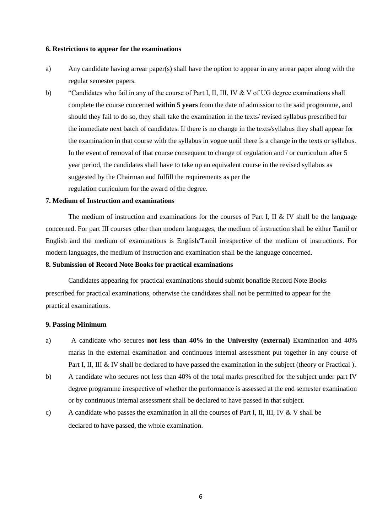#### **6. Restrictions to appear for the examinations**

- a) Any candidate having arrear paper(s) shall have the option to appear in any arrear paper along with the regular semester papers.
- b) 
"Candidates who fail in any of the course of Part I, II, III, IV & V of UG degree examinations shall complete the course concerned **within 5 years** from the date of admission to the said programme, and should they fail to do so, they shall take the examination in the texts/ revised syllabus prescribed for the immediate next batch of candidates. If there is no change in the texts/syllabus they shall appear for the examination in that course with the syllabus in vogue until there is a change in the texts or syllabus. In the event of removal of that course consequent to change of regulation and / or curriculum after 5 year period, the candidates shall have to take up an equivalent course in the revised syllabus as suggested by the Chairman and fulfill the requirements as per the regulation curriculum for the award of the degree.

#### **7. Medium of Instruction and examinations**

The medium of instruction and examinations for the courses of Part I, II  $&$  IV shall be the language concerned. For part III courses other than modern languages, the medium of instruction shall be either Tamil or English and the medium of examinations is English/Tamil irrespective of the medium of instructions. For modern languages, the medium of instruction and examination shall be the language concerned.

#### **8. Submission of Record Note Books for practical examinations**

Candidates appearing for practical examinations should submit bonafide Record Note Books prescribed for practical examinations, otherwise the candidates shall not be permitted to appear for the practical examinations.

#### **9. Passing Minimum**

- a) A candidate who secures **not less than 40% in the University (external)** Examination and 40% marks in the external examination and continuous internal assessment put together in any course of Part I, II, III & IV shall be declared to have passed the examination in the subject (theory or Practical).
- b) A candidate who secures not less than 40% of the total marks prescribed for the subject under part IV degree programme irrespective of whether the performance is assessed at the end semester examination or by continuous internal assessment shall be declared to have passed in that subject.
- c) A candidate who passes the examination in all the courses of Part I, II, III, IV & V shall be declared to have passed, the whole examination.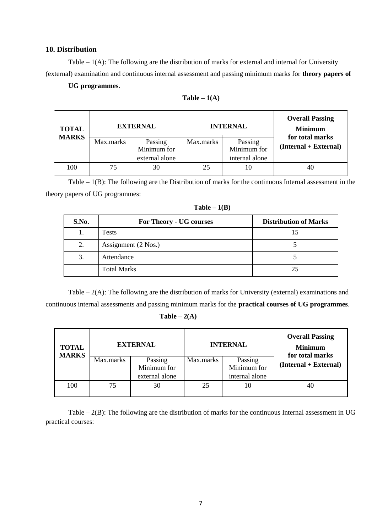#### **10. Distribution**

Table – 1(A): The following are the distribution of marks for external and internal for University (external) examination and continuous internal assessment and passing minimum marks for **theory papers of**

#### **UG programmes**.

|           |                | <b>INTERNAL</b>                |                | <b>Overall Passing</b><br><b>Minimum</b><br>for total marks |  |
|-----------|----------------|--------------------------------|----------------|-------------------------------------------------------------|--|
| Max.marks | Passing        | Max.marks                      | Passing        |                                                             |  |
|           |                |                                |                | $(Internal + External)$                                     |  |
|           | external alone |                                | internal alone |                                                             |  |
| 75        | 30             | 25                             | 10             | 40                                                          |  |
|           |                | <b>EXTERNAL</b><br>Minimum for |                | Minimum for                                                 |  |

| Table $-1(A)$ |  |  |  |
|---------------|--|--|--|
|---------------|--|--|--|

Table – 1(B): The following are the Distribution of marks for the continuous Internal assessment in the theory papers of UG programmes:

| S.No. | For Theory - UG courses | <b>Distribution of Marks</b> |
|-------|-------------------------|------------------------------|
| 1.    | <b>Tests</b>            |                              |
| 2.    | Assignment (2 Nos.)     |                              |
| 3.    | Attendance              |                              |
|       | <b>Total Marks</b>      | 25                           |

**Table – 1(B)**

Table – 2(A): The following are the distribution of marks for University (external) examinations and continuous internal assessments and passing minimum marks for the **practical courses of UG programmes**.

#### $Table - 2(A)$

| <b>TOTAL</b><br><b>MARKS</b> | <b>EXTERNAL</b> |                | <b>INTERNAL</b> |                | <b>Overall Passing</b><br><b>Minimum</b><br>for total marks |
|------------------------------|-----------------|----------------|-----------------|----------------|-------------------------------------------------------------|
|                              | Max.marks       | Passing        | Max.marks       | Passing        | (Internal + External)                                       |
|                              |                 | Minimum for    |                 | Minimum for    |                                                             |
|                              |                 | external alone |                 | internal alone |                                                             |
| 100                          | 75              | 30             | 25              | 10             | 40                                                          |

Table – 2(B): The following are the distribution of marks for the continuous Internal assessment in UG practical courses: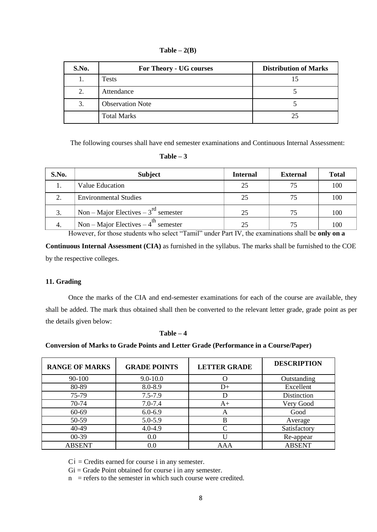| $Table - 2(B)$ |  |
|----------------|--|
|----------------|--|

| S.No. | For Theory - UG courses | <b>Distribution of Marks</b> |
|-------|-------------------------|------------------------------|
|       | Tests                   |                              |
| 2.    | Attendance              |                              |
| 3.    | <b>Observation Note</b> |                              |
|       | <b>Total Marks</b>      | 25                           |

The following courses shall have end semester examinations and Continuous Internal Assessment:

| 'able |  |
|-------|--|
|-------|--|

| S.No. | <b>Subject</b>                                                                                                                                                           | <b>Internal</b> | <b>External</b> | <b>Total</b> |
|-------|--------------------------------------------------------------------------------------------------------------------------------------------------------------------------|-----------------|-----------------|--------------|
|       | Value Education                                                                                                                                                          | 25              | 75              | 100          |
|       | <b>Environmental Studies</b>                                                                                                                                             | 25              |                 | 100          |
|       | Non – Major Electives – $3^{rd}$ semester                                                                                                                                | 25              | 75              | 100          |
| 4.    | Non – Major Electives – $4^{\text{th}}$ semester<br>the contract of the contract of the contract of the contract of the contract of the contract of the contract of<br>. | 25<br>.         | 75<br>.         | 100          |

However, for those students who select "Tamil" under Part IV, the examinations shall be only on a

**Continuous Internal Assessment (CIA)** as furnished in the syllabus. The marks shall be furnished to the COE by the respective colleges.

#### **11. Grading**

Once the marks of the CIA and end-semester examinations for each of the course are available, they shall be added. The mark thus obtained shall then be converted to the relevant letter grade, grade point as per the details given below:

#### **Table – 4**

#### **Conversion of Marks to Grade Points and Letter Grade (Performance in a Course/Paper)**

| <b>RANGE OF MARKS</b> | <b>GRADE POINTS</b> | <b>LETTER GRADE</b> | <b>DESCRIPTION</b> |
|-----------------------|---------------------|---------------------|--------------------|
| 90-100                | $9.0 - 10.0$        |                     | Outstanding        |
| 80-89                 | 8.0-8.9             | D+                  | Excellent          |
| 75-79                 | $7.5 - 7.9$         |                     | Distinction        |
| 70-74                 | $7.0 - 7.4$         | $A+$                | Very Good          |
| 60-69                 | $6.0 - 6.9$         | $\mathsf{A}$        | Good               |
| 50-59                 | 5.0-5.9             | B                   | Average            |
| 40-49                 | $4.0 - 4.9$         |                     | Satisfactory       |
| $00-39$               | 0.0                 |                     | Re-appear          |
| <b>ABSENT</b>         | 0.0                 | AAA                 | <b>ABSENT</b>      |

 $Ci = C$  redits earned for course i in any semester.

 $Gi = Grade Point obtained for course i in any semester.$ 

 $n =$  refers to the semester in which such course were credited.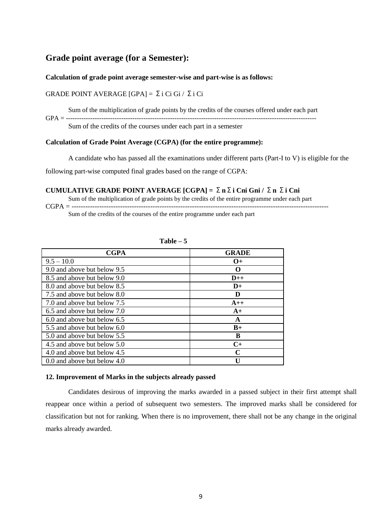#### **Grade point average (for a Semester):**

#### **Calculation of grade point average semester-wise and part-wise is as follows:**

#### GRADE POINT AVERAGE [GPA] = Σi Ci Gi / Σi Ci

Sum of the multiplication of grade points by the credits of the courses offered under each part

GPA = -----------------------------------------------------------------------------------------------------------------

Sum of the credits of the courses under each part in a semester

#### **Calculation of Grade Point Average (CGPA) (for the entire programme):**

A candidate who has passed all the examinations under different parts (Part-I to V) is eligible for the

following part-wise computed final grades based on the range of CGPA:

#### **CUMULATIVE GRADE POINT AVERAGE [CGPA] =** Σ**n**Σ**i Cni Gni /** Σ**n** Σ**i Cni**

Sum of the multiplication of grade points by the credits of the entire programme under each part

CGPA = --------------------------------------------------------------------------------------------------------------- Sum of the credits of the courses of the entire programme under each part

| <b>CGPA</b>                   | <b>GRADE</b>      |
|-------------------------------|-------------------|
| $9.5 - 10.0$                  | $O+$              |
| 9.0 and above but below 9.5   | $\mathbf{\Omega}$ |
| 8.5 and above but below 9.0   | $D_{++}$          |
| 8.0 and above but below 8.5   | $D+$              |
| 7.5 and above but below 8.0   | D                 |
| 7.0 and above but below 7.5   | $A++$             |
| 6.5 and above but below 7.0   | $A+$              |
| 6.0 and above but below 6.5   | A                 |
| 5.5 and above but below 6.0   | $B+$              |
| 5.0 and above but below 5.5   | B                 |
| 4.5 and above but below 5.0   | $C+$              |
| 4.0 and above but below 4.5   | $\mathbf C$       |
| 0.0 and above but below $4.0$ | Н                 |

**Table – 5**

#### **12. Improvement of Marks in the subjects already passed**

Candidates desirous of improving the marks awarded in a passed subject in their first attempt shall reappear once within a period of subsequent two semesters. The improved marks shall be considered for classification but not for ranking. When there is no improvement, there shall not be any change in the original marks already awarded.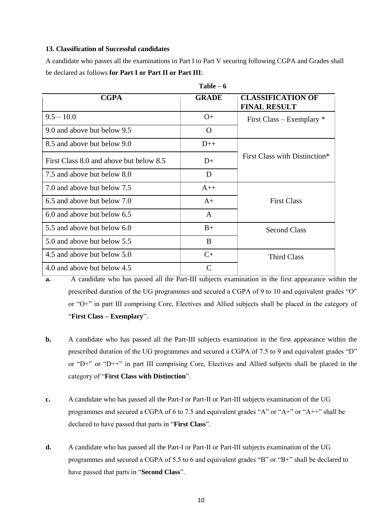#### **13. Classification of Successful candidates**

A candidate who passes all the examinations in Part I to Part V securing following CGPA and Grades shall be declared as follows **for Part I or Part II or Part III**:

**Table – 6**

| <b>CGPA</b>                             | <b>GRADE</b> | <b>CLASSIFICATION OF</b><br><b>FINAL RESULT</b> |
|-----------------------------------------|--------------|-------------------------------------------------|
| $9.5 - 10.0$                            | $O+$         | First Class – Exemplary $*$                     |
| 9.0 and above but below 9.5             | O            |                                                 |
| 8.5 and above but below 9.0             | $D++$        |                                                 |
| First Class 8.0 and above but below 8.5 | $D+$         | First Class with Distinction*                   |
| 7.5 and above but below 8.0             | D            |                                                 |
| 7.0 and above but below 7.5             | $A++$        |                                                 |
| 6.5 and above but below 7.0             | $A+$         | <b>First Class</b>                              |
| 6.0 and above but below 6.5             | A            |                                                 |
| 5.5 and above but below 6.0             | $B+$         | <b>Second Class</b>                             |
| 5.0 and above but below 5.5             | B            |                                                 |
| 4.5 and above but below 5.0             | $C+$         | <b>Third Class</b>                              |
| 4.0 and above but below 4.5             | C            |                                                 |

**a.** A candidate who has passed all the Part-III subjects examination in the first appearance within the prescribed duration of the UG programmes and secured a CGPA of 9 to 10 and equivalent grades "O" or "O+" in part III comprising Core, Electives and Allied subjects shall be placed in the category of ―**First Class – Exemplary**‖.

- **b.** A candidate who has passed all the Part-III subjects examination in the first appearance within the prescribed duration of the UG programmes and secured a CGPA of 7.5 to 9 and equivalent grades "D" or "D+" or "D++" in part III comprising Core, Electives and Allied subjects shall be placed in the category of "First Class with Distinction".
- **c.** A candidate who has passed all the Part-I or Part-II or Part-III subjects examination of the UG programmes and secured a CGPA of 6 to 7.5 and equivalent grades "A" or " $A$ +" or " $A$ ++" shall be declared to have passed that parts in "**First Class**".
- **d.** A candidate who has passed all the Part-I or Part-II or Part-III subjects examination of the UG programmes and secured a CGPA of 5.5 to 6 and equivalent grades "B" or "B+" shall be declared to have passed that parts in "**Second Class**".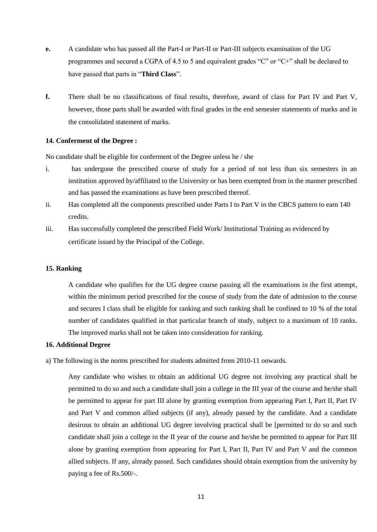- **e.** A candidate who has passed all the Part-I or Part-II or Part-III subjects examination of the UG programmes and secured a CGPA of 4.5 to 5 and equivalent grades  $°C$  or  $°C +$  shall be declared to have passed that parts in "**Third Class**".
- **f.** There shall be no classifications of final results, therefore, award of class for Part IV and Part V, however, those parts shall be awarded with final grades in the end semester statements of marks and in the consolidated statement of marks.

#### **14. Conferment of the Degree :**

No candidate shall be eligible for conferment of the Degree unless he / she

- i. has undergone the prescribed course of study for a period of not less than six semesters in an institution approved by/affiliated to the University or has been exempted from in the manner prescribed and has passed the examinations as have been prescribed thereof.
- ii. Has completed all the components prescribed under Parts I to Part V in the CBCS pattern to earn 140 credits.
- iii. Has successfully completed the prescribed Field Work/ Institutional Training as evidenced by certificate issued by the Principal of the College.

#### **15. Ranking**

A candidate who qualifies for the UG degree course passing all the examinations in the first attempt, within the minimum period prescribed for the course of study from the date of admission to the course and secures I class shall be eligible for ranking and such ranking shall be confined to 10 % of the total number of candidates qualified in that particular branch of study, subject to a maximum of 10 ranks. The improved marks shall not be taken into consideration for ranking.

#### **16. Additional Degree**

a) The following is the norms prescribed for students admitted from 2010-11 onwards.

Any candidate who wishes to obtain an additional UG degree not involving any practical shall be permitted to do so and such a candidate shall join a college in the III year of the course and he/she shall be permitted to appear for part III alone by granting exemption from appearing Part I, Part II, Part IV and Part V and common allied subjects (if any), already passed by the candidate. And a candidate desirous to obtain an additional UG degree involving practical shall be [permitted to do so and such candidate shall join a college in the II year of the course and he/she be permitted to appear for Part III alone by granting exemption from appearing for Part I, Part II, Part IV and Part V and the common allied subjects. If any, already passed. Such candidates should obtain exemption from the university by paying a fee of Rs.500/-.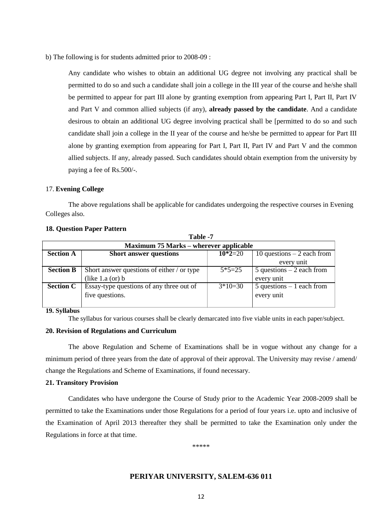b) The following is for students admitted prior to 2008-09 :

Any candidate who wishes to obtain an additional UG degree not involving any practical shall be permitted to do so and such a candidate shall join a college in the III year of the course and he/she shall be permitted to appear for part III alone by granting exemption from appearing Part I, Part II, Part IV and Part V and common allied subjects (if any), **already passed by the candidate**. And a candidate desirous to obtain an additional UG degree involving practical shall be [permitted to do so and such candidate shall join a college in the II year of the course and he/she be permitted to appear for Part III alone by granting exemption from appearing for Part I, Part II, Part IV and Part V and the common allied subjects. If any, already passed. Such candidates should obtain exemption from the university by paying a fee of Rs.500/-.

#### 17. **Evening College**

The above regulations shall be applicable for candidates undergoing the respective courses in Evening Colleges also.

**Table 1** 

|                  | 1 apie - /                                    |           |                                        |  |  |  |  |  |  |  |  |
|------------------|-----------------------------------------------|-----------|----------------------------------------|--|--|--|--|--|--|--|--|
|                  | <b>Maximum 75 Marks – wherever applicable</b> |           |                                        |  |  |  |  |  |  |  |  |
| <b>Section A</b> | <b>Short answer questions</b>                 | $10*2=20$ | 10 questions $-2$ each from            |  |  |  |  |  |  |  |  |
|                  |                                               |           | every unit                             |  |  |  |  |  |  |  |  |
| <b>Section B</b> | Short answer questions of either / or type    | $5*5=25$  | $\overline{5}$ questions – 2 each from |  |  |  |  |  |  |  |  |
|                  | (like $1.a$ (or) $b$                          |           | every unit                             |  |  |  |  |  |  |  |  |
| <b>Section C</b> | Essay-type questions of any three out of      | $3*10=30$ | $5$ questions $-1$ each from           |  |  |  |  |  |  |  |  |
|                  | five questions.                               |           | every unit                             |  |  |  |  |  |  |  |  |
|                  |                                               |           |                                        |  |  |  |  |  |  |  |  |

#### **18. Question Paper Pattern**

**19. Syllabus**

The syllabus for various courses shall be clearly demarcated into five viable units in each paper/subject.

#### **20. Revision of Regulations and Curriculum**

The above Regulation and Scheme of Examinations shall be in vogue without any change for a minimum period of three years from the date of approval of their approval. The University may revise / amend/ change the Regulations and Scheme of Examinations, if found necessary.

#### **21. Transitory Provision**

Candidates who have undergone the Course of Study prior to the Academic Year 2008-2009 shall be permitted to take the Examinations under those Regulations for a period of four years i.e. upto and inclusive of the Examination of April 2013 thereafter they shall be permitted to take the Examination only under the Regulations in force at that time.

\*\*\*\*\*

#### **PERIYAR UNIVERSITY, SALEM-636 011**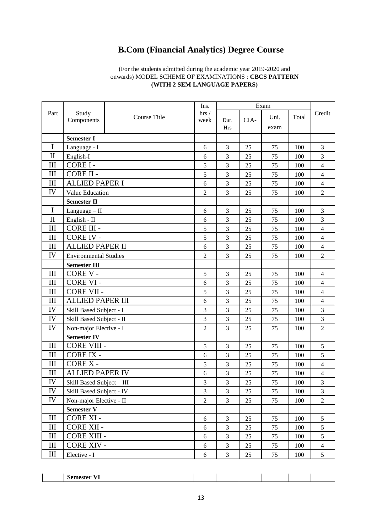## **B.Com (Financial Analytics) Degree Course**

#### (For the students admitted during the academic year 2019-2020 and onwards) MODEL SCHEME OF EXAMINATIONS : **CBCS PATTERN (WITH 2 SEM LANGUAGE PAPERS)**

|              |                              |              | Ins.           |                    |      |      |       |                |
|--------------|------------------------------|--------------|----------------|--------------------|------|------|-------|----------------|
| Part         | Study                        | Course Title | hrs/           |                    |      | Uni. | Total | Credit         |
|              | Components                   |              | week           | Dur.<br><b>Hrs</b> | CIA- | exam |       |                |
|              |                              |              |                |                    |      |      |       |                |
|              | <b>Semester I</b>            |              |                |                    |      |      |       |                |
| $\mathbf I$  | Language - I                 |              | 6              | 3                  | 25   | 75   | 100   | 3              |
| $\mathbf{I}$ | English-I                    |              | 6              | 3                  | 25   | 75   | 100   | 3              |
| III          | CORE I-                      |              | 5              | 3                  | 25   | 75   | 100   | $\overline{4}$ |
| III          | CORE II -                    |              | 5              | $\overline{3}$     | 25   | 75   | 100   | $\overline{4}$ |
| III          | <b>ALLIED PAPER I</b>        |              | 6              | 3                  | 25   | 75   | 100   | $\overline{4}$ |
| IV           | Value Education              |              | $\overline{2}$ | 3                  | 25   | 75   | 100   | $\overline{2}$ |
|              | <b>Semester II</b>           |              |                |                    |      |      |       |                |
| $\mathbf I$  | Language $-$ II              |              | 6              | 3                  | 25   | 75   | 100   | $\overline{3}$ |
| $\mathbf{I}$ | English - II                 |              | 6              | 3                  | 25   | 75   | 100   | $\overline{3}$ |
| III          | <b>CORE III -</b>            |              | 5              | 3                  | 25   | 75   | 100   | $\overline{4}$ |
| III          | <b>CORE IV -</b>             |              | 5              | 3                  | 25   | 75   | 100   | $\overline{4}$ |
| III          | <b>ALLIED PAPER II</b>       |              | 6              | 3                  | 25   | 75   | 100   | $\overline{4}$ |
| IV           | <b>Environmental Studies</b> |              | $\overline{2}$ | 3                  | 25   | 75   | 100   | $\overline{2}$ |
|              | <b>Semester III</b>          |              |                |                    |      |      |       |                |
| III          | CORE V -                     |              | 5              | 3                  | 25   | 75   | 100   | $\overline{4}$ |
| III          | <b>CORE VI-</b>              |              | 6              | 3                  | 25   | 75   | 100   | $\overline{4}$ |
| III          | <b>CORE VII -</b>            |              | 5              | 3                  | 25   | 75   | 100   | $\overline{4}$ |
| III          | <b>ALLIED PAPER III</b>      |              | 6              | 3                  | 25   | 75   | 100   | $\overline{4}$ |
| IV           | Skill Based Subject - I      |              | 3              | 3                  | 25   | 75   | 100   | 3              |
| IV           | Skill Based Subject - II     |              | 3              | 3                  | 25   | 75   | 100   | 3              |
| IV           | Non-major Elective - I       |              | $\overline{2}$ | 3                  | 25   | 75   | 100   | $\overline{2}$ |
|              | <b>Semester IV</b>           |              |                |                    |      |      |       |                |
| III          | <b>CORE VIII -</b>           |              | 5              | 3                  | 25   | 75   | 100   | 5              |
| III          | <b>CORE IX -</b>             |              | 6              | 3                  | 25   | 75   | 100   | 5              |
| III          | CORE X-                      |              | 5              | 3                  | 25   | 75   | 100   | $\overline{4}$ |
| III          | <b>ALLIED PAPER IV</b>       |              | 6              | 3                  | 25   | 75   | 100   | $\overline{4}$ |
| IV           | Skill Based Subject - III    |              | 3              | $\overline{3}$     | 25   | 75   | 100   | 3              |
| IV           | Skill Based Subject - IV     |              | 3              | $\mathfrak{Z}$     | 25   | 75   | 100   | 3              |
| IV           | Non-major Elective - II      |              | $\overline{2}$ | 3                  | 25   | 75   | 100   | $\overline{2}$ |
|              | <b>Semester V</b>            |              |                |                    |      |      |       |                |
| III          | CORE XI -                    |              | 6              | $\mathfrak{Z}$     | 25   | 75   | 100   | 5              |
| III          | <b>CORE XII -</b>            |              | $\sqrt{6}$     | 3                  | 25   | 75   | 100   | 5              |
| III          | <b>CORE XIII -</b>           |              | 6              | 3                  | 25   | 75   | 100   | 5              |
| III          | <b>CORE XIV -</b>            |              | 6              | 3                  | 25   | 75   | 100   | $\overline{4}$ |
| III          | Elective - I                 |              | 6              | $\overline{3}$     | 25   | 75   | 100   | 5              |

| ---<br> |  |  |  |
|---------|--|--|--|
|         |  |  |  |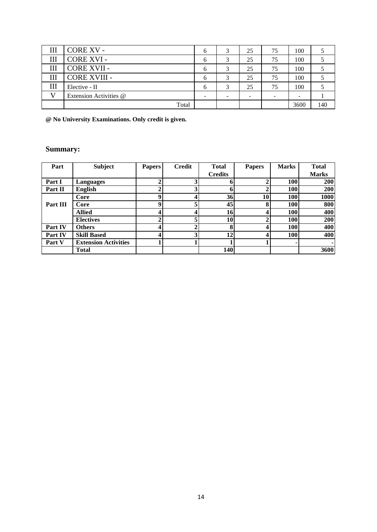| CORE XV -              | <sub>(</sub> |   | 25 | 75 | 100  |     |
|------------------------|--------------|---|----|----|------|-----|
| CORE XVI -             |              |   | 25 | 75 | 100  |     |
| CORE XVII -            | <sub>(</sub> |   | 25 | 75 | 100  |     |
| <b>CORE XVIII -</b>    | h            |   | 25 | 75 | 100  |     |
| Elective - II          | <sub>0</sub> | 3 | 25 | 75 | 100  |     |
| Extension Activities @ |              | - |    | -  |      |     |
| Total                  |              |   |    |    | 3600 | 140 |

**@ No University Examinations. Only credit is given.**

#### **Summary:**

| Part           | <b>Subject</b>              | <b>Papers</b> | <b>Credit</b> | <b>Total</b>   | <b>Papers</b> | <b>Marks</b> | <b>Total</b> |
|----------------|-----------------------------|---------------|---------------|----------------|---------------|--------------|--------------|
|                |                             |               |               | <b>Credits</b> |               |              | <b>Marks</b> |
| Part I         | Languages                   |               |               | 6              |               | 100          | <b>200</b>   |
| Part II        | <b>English</b>              |               | 2             | 6              |               | 100          | <b>200</b>   |
|                | Core                        | Q             |               | 36             | 10            | 100          | 1000         |
| Part III       | Core                        | Q             |               | 45             | 8             | 100          | 800          |
|                | <b>Allied</b>               |               |               | 16             |               | 100          | 400          |
|                | <b>Electives</b>            |               |               | 10             |               | 100          | 200          |
| Part IV        | <b>Others</b>               |               |               | 8              |               | 100          | 400          |
| <b>Part IV</b> | <b>Skill Based</b>          |               | ◠             | 12             |               | <b>100</b>   | 400          |
| Part V         | <b>Extension Activities</b> |               |               |                |               |              |              |
|                | <b>Total</b>                |               |               | <b>140</b>     |               |              | 3600         |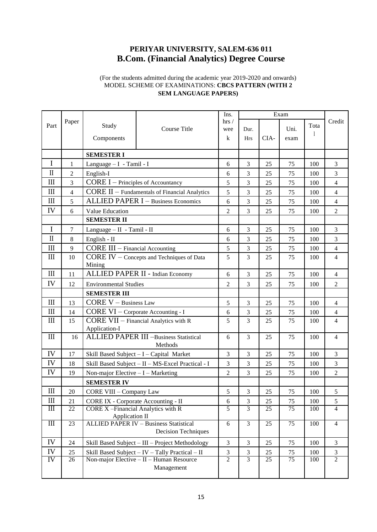## **PERIYAR UNIVERSITY, SALEM-636 011 B.Com. (Financial Analytics) Degree Course**

#### (For the students admitted during the academic year 2019-2020 and onwards) MODEL SCHEME OF EXAMINATIONS: **CBCS PATTERN (WITH 2 SEM LANGUAGE PAPERS)**

|              |                | Ins.<br>Exam                                  |                                                          |                |                |      |                 |                |                |
|--------------|----------------|-----------------------------------------------|----------------------------------------------------------|----------------|----------------|------|-----------------|----------------|----------------|
| Part         | Paper          | Study                                         |                                                          | hrs/           |                |      |                 | Tota           | Credit         |
|              |                |                                               | Course Title                                             | wee            | Dur.           |      | Uni.            |                |                |
|              |                | Components                                    |                                                          | $\bf k$        | <b>Hrs</b>     | CIA- | exam            |                |                |
|              |                | <b>SEMESTER I</b>                             |                                                          |                |                |      |                 |                |                |
| $\mathbf I$  | 1              | Language $- I$ - Tamil - I                    |                                                          | 6              | 3              | 25   | 75              | 100            | 3              |
| $\mathbf{I}$ | $\overline{c}$ | English-I                                     |                                                          | 6              | 3              | 25   | 75              | 100            | 3              |
| III          | 3              | <b>CORE I</b> – Principles of Accountancy     |                                                          | 5              | 3              | 25   | 75              | 100            | 4              |
| III          | $\overline{4}$ |                                               | CORE II - Fundamentals of Financial Analytics            | 5              | 3              | 25   | 75              | 100            | $\overline{4}$ |
| III          | 5              |                                               | <b>ALLIED PAPER I - Business Economics</b>               | 6              | 3              | 25   | 75              | 100            | $\overline{4}$ |
| IV           | 6              | Value Education                               |                                                          | $\overline{c}$ | 3              | 25   | 75              | 100            | $\overline{2}$ |
|              |                | <b>SEMESTER II</b>                            |                                                          |                |                |      |                 |                |                |
| $\mathbf I$  | 7              | Language - II - Tamil - II                    |                                                          | 6              | 3              | 25   | 75              | 100            | 3              |
| $\rm II$     | 8              | English - II                                  |                                                          | 6              | 3              | 25   | 75              | 100            | 3              |
| $\rm III$    | 9              | $CORE III - Financial According$              |                                                          | 5              | 3              | 25   | 75              | 100            | 4              |
| III          | 10             |                                               | CORE IV - Concepts and Techniques of Data                | 5              | 3              | 25   | 75              | 100            | $\overline{4}$ |
|              |                | Mining                                        |                                                          |                |                |      |                 |                |                |
| III          | 11             |                                               | ALLIED PAPER II - Indian Economy                         | 6              | 3              | 25   | 75              | 100            | $\overline{4}$ |
| IV           | 12             | <b>Environmental Studies</b>                  |                                                          | $\overline{c}$ | 3              | 25   | 75              | 100            | $\overline{2}$ |
|              |                | <b>SEMESTER III</b>                           |                                                          |                |                |      |                 |                |                |
| III          | 13             | $CORE V - Business Law$                       |                                                          | 5              | 3              | 25   | 75              | 100            | $\overline{4}$ |
| III          | 14             | CORE VI - Corporate Accounting - I            |                                                          | 6              | 3              | 25   | 75              | 100            | 4              |
| III          | 15             |                                               | CORE VII - Financial Analytics with R                    | 5              | 3              | 25   | 75              | 100            | 4              |
|              |                | Application-I                                 |                                                          |                |                |      |                 |                |                |
| $\rm III$    | 16             |                                               | <b>ALLIED PAPER III -Business Statistical</b><br>Methods | 6              | 3              | 25   | 75              | 100            | $\overline{4}$ |
| IV           | 17             |                                               | Skill Based Subject - I - Capital Market                 | 3              | 3              | 25   | 75              | 100            | 3              |
| IV           | 18             |                                               | Skill Based Subject - II - MS-Excel Practical - I        | 3              | 3              | 25   | 75              | 100            | 3              |
| IV           | 19             | Non-major Elective $-I-Marketing$             |                                                          | $\overline{c}$ | 3              | 25   | 75              | 100            | $\overline{2}$ |
|              |                | <b>SEMESTER IV</b>                            |                                                          |                |                |      |                 |                |                |
| III          | 20             | <b>CORE VIII - Company Law</b>                |                                                          | 5              | 3              | 25   | 75              | 100            | 5              |
| III          | 21             | CORE IX - Corporate Accounting - II           |                                                          | 6              | 3              | 25   | 75              | 100            | 5              |
| Ш            | 22             | CORE X-Financial Analytics with R             |                                                          | 5              | $\overline{3}$ | 25   | $\overline{75}$ | 100            | $\overline{4}$ |
|              |                | <b>Application II</b>                         |                                                          |                |                |      |                 |                |                |
| Ш            | 23             | <b>ALLIED PAPER IV - Business Statistical</b> | $\overline{6}$                                           | $\overline{3}$ | 25             | 75   | 100             | $\overline{4}$ |                |
|              |                |                                               | <b>Decision Techniques</b>                               |                |                |      |                 |                |                |
| IV           | 24             |                                               | Skill Based Subject - III - Project Methodology          | 3              | $\mathfrak{Z}$ | 25   | 75              | 100            | 3              |
| IV           | 25             |                                               | Skill Based Subject - IV - Tally Practical - II          | 3              | $\mathfrak{Z}$ | 25   | 75              | 100            | 3              |
| IV           | 26             |                                               | Non-major Elective - II - Human Resource                 | $\overline{c}$ | 3              | 25   | $\overline{75}$ | 100            | $\overline{2}$ |
|              |                |                                               | Management                                               |                |                |      |                 |                |                |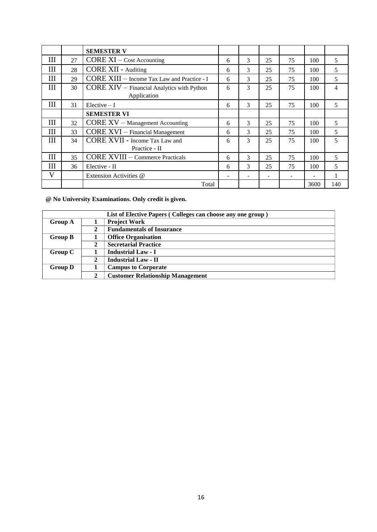|   |    | <b>SEMESTER V</b>                           |   |   |    |    |                          |                |
|---|----|---------------------------------------------|---|---|----|----|--------------------------|----------------|
| Ш | 27 | CORE XI - Cost Accounting                   | 6 | 3 | 25 | 75 | 100                      | 5              |
| Ш | 28 | <b>CORE XII - Auditing</b>                  | 6 | 3 | 25 | 75 | 100                      | 5              |
| Ш | 29 | CORE XIII - Income Tax Law and Practice - I | 6 | 3 | 25 | 75 | 100                      | 5              |
| Ш | 30 | CORE XIV - Financial Analytics with Python  | 6 | 3 | 25 | 75 | 100                      | $\overline{4}$ |
|   |    | Application                                 |   |   |    |    |                          |                |
| Ш | 31 | Elective $-I$                               | 6 | 3 | 25 | 75 | 100                      | 5              |
|   |    | <b>SEMESTER VI</b>                          |   |   |    |    |                          |                |
| Ш | 32 | CORE XV - Management Accounting             | 6 | 3 | 25 | 75 | 100                      | 5              |
| Ш | 33 | <b>CORE XVI</b> - Financial Management      | 6 | 3 | 25 | 75 | 100                      | 5              |
| Ш | 34 | <b>CORE XVII - Income Tax Law and</b>       | 6 | 3 | 25 | 75 | 100                      | 5              |
|   |    | Practice - II                               |   |   |    |    |                          |                |
| Ш | 35 | <b>CORE XVIII – Commerce Practicals</b>     | 6 | 3 | 25 | 75 | 100                      | 5              |
| Ш | 36 | Elective - II                               | 6 | 3 | 25 | 75 | 100                      | 5              |
| V |    | Extension Activities @                      | - | ۰ | ۰  |    | $\overline{\phantom{a}}$ |                |
|   |    | Total                                       |   |   |    |    | 3600                     | 140            |

**@ No University Examinations. Only credit is given.**

|                |   | List of Elective Papers (Colleges can choose any one group) |
|----------------|---|-------------------------------------------------------------|
| <b>Group A</b> |   | <b>Project Work</b>                                         |
|                | 2 | <b>Fundamentals of Insurance</b>                            |
| <b>Group B</b> |   | <b>Office Organisation</b>                                  |
|                | 2 | <b>Secretarial Practice</b>                                 |
| Group C        |   | <b>Industrial Law - I</b>                                   |
|                | 2 | <b>Industrial Law - II</b>                                  |
| <b>Group D</b> |   | <b>Campus to Corporate</b>                                  |
|                | 2 | <b>Customer Relationship Management</b>                     |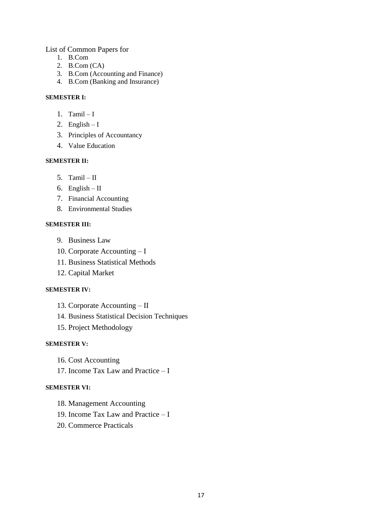List of Common Papers for

- 1. B.Com
- 2. B.Com (CA)
- 3. B.Com (Accounting and Finance)
- 4. B.Com (Banking and Insurance)

#### **SEMESTER I:**

- 1. Tamil  $-I$
- 2. English  $-I$
- 3. Principles of Accountancy
- 4. Value Education

#### **SEMESTER II:**

- 5. Tamil  $II$
- 6. English II
- 7. Financial Accounting
- 8. Environmental Studies

#### **SEMESTER III:**

- 9. Business Law
- 10. Corporate Accounting I
- 11. Business Statistical Methods
- 12. Capital Market

#### **SEMESTER IV:**

- 13. Corporate Accounting II
- 14. Business Statistical Decision Techniques
- 15. Project Methodology

#### **SEMESTER V:**

- 16. Cost Accounting
- 17. Income Tax Law and Practice I

#### **SEMESTER VI:**

- 18. Management Accounting
- 19. Income Tax Law and Practice I
- 20. Commerce Practicals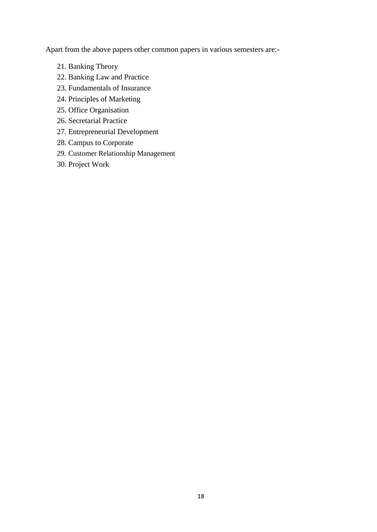Apart from the above papers other common papers in various semesters are:-

- 21. Banking Theory
- 22. Banking Law and Practice
- 23. Fundamentals of Insurance
- 24. Principles of Marketing
- 25. Office Organisation
- 26. Secretarial Practice
- 27. Entrepreneurial Development
- 28. Campus to Corporate
- 29. Customer Relationship Management
- 30. Project Work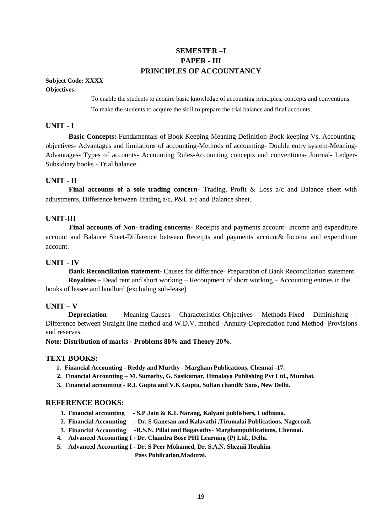#### **SEMESTER –I PAPER - III PRINCIPLES OF ACCOUNTANCY**

**Subject Code: XXXX Objectives:**

> To enable the students to acquire basic knowledge of accounting principles, concepts and conventions. To make the students to acquire the skill to prepare the trial balance and final accounts.

#### **UNIT - I**

**Basic Concepts:** Fundamentals of Book Keeping-Meaning-Definition-Book-keeping Vs. Accountingobjectives- Advantages and limitations of accounting-Methods of accounting- Double entry system-Meaning-Advantages- Types of accounts- Accounting Rules-Accounting concepts and conventions- Journal- Ledger-Subsidiary books - Trial balance.

#### **UNIT - II**

**Final accounts of a sole trading concern-** Trading, Profit & Loss a/c and Balance sheet with adjustments, Difference between Trading a/c, P&L a/c and Balance sheet.

#### **UNIT-III**

**Final accounts of Non- trading concerns-** Receipts and payments account- Income and expenditure account and Balance Sheet-Difference between Receipts and payments account& Income and expenditure account.

#### **UNIT - IV**

**Bank Reconciliation statement-** Causes for difference- Preparation of Bank Reconciliation statement. **Royalties –** Dead rent and short working – Recoupment of short working – Accounting entries in the books of lessee and landlord (excluding sub-lease)

#### **UNIT – V**

**Depreciation** – Meaning-Causes- Characteristics-Objectives- Methods-Fixed -Diminishing - Difference between Straight line method and W.D.V. method -Annuity-Depreciation fund Method- Provisions and reserves.

**Note: Distribution of marks - Problems 80% and Theory 20%.**

#### **TEXT BOOKS:**

- **1. Financial Accounting - Reddy and Murthy - Margham Publications, Chennai -17.**
- **2. Financial Accounting – M. Sumathy, G. Sasikumar, Himalaya Publishing Pvt Ltd., Mumbai.**
- **3. Financial accounting - R.L Gupta and V.K Gupta, Sultan chand& Sons, New Delhi.**

#### **REFERENCE BOOKS:**

- **1. Financial accounting - S.P Jain & K.L Narang, Kalyani publishers, Ludhiana.**
- **2. Financial Accounting - Dr. S Ganesan and Kalavathi ,Tirumalai Publications, Nagercoil.**
- **3. Financial Accounting -R.S.N. Pillai and Bagavathy Marghampublications, Chennai.**
- **4. Advanced Accounting I - Dr. Chandra Bose PHI Learning (P) Ltd., Delhi.**
- **5. Advanced Accounting I - Dr. S Peer Mohamed, Dr. S.A.N. Shezuii Ibrahim**

**Pass Publication,Madurai.**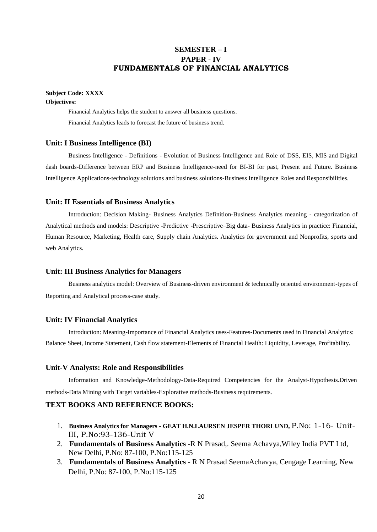#### **SEMESTER – I PAPER - IV FUNDAMENTALS OF FINANCIAL ANALYTICS**

#### **Subject Code: XXXX**

#### **Objectives:**

Financial Analytics helps the student to answer all business questions. Financial Analytics leads to forecast the future of business trend.

#### **Unit: I Business Intelligence (BI)**

Business Intelligence - Definitions - Evolution of Business Intelligence and Role of DSS, EIS, MIS and Digital dash boards-Difference between ERP and Business Intelligence-need for BI-BI for past, Present and Future. Business Intelligence Applications-technology solutions and business solutions-Business Intelligence Roles and Responsibilities.

#### **Unit: II Essentials of Business Analytics**

Introduction: Decision Making- Business Analytics Definition-Business Analytics meaning - categorization of Analytical methods and models: Descriptive -Predictive -Prescriptive–Big data- Business Analytics in practice: Financial, Human Resource, Marketing, Health care, Supply chain Analytics. Analytics for government and Nonprofits, sports and web Analytics.

#### **Unit: III Business Analytics for Managers**

Business analytics model: Overview of Business-driven environment & technically oriented environment-types of Reporting and Analytical process-case study.

#### **Unit: IV Financial Analytics**

Introduction: Meaning-Importance of Financial Analytics uses-Features-Documents used in Financial Analytics: Balance Sheet, Income Statement, Cash flow statement-Elements of Financial Health: Liquidity, Leverage, Profitability.

#### **Unit-V Analysts: Role and Responsibilities**

Information and Knowledge-Methodology-Data-Required Competencies for the Analyst-Hypothesis.Driven methods-Data Mining with Target variables-Explorative methods-Business requirements.

#### **TEXT BOOKS AND REFERENCE BOOKS:**

- 1. **Business Analytics for Managers - GEAT H.N.LAURSEN JESPER THORLUND,** P.No: 1-16- Unit-III, P.No:93-136-Unit V
- 2. **Fundamentals of Business Analytics** -R N Prasad,. Seema Achavya,Wiley India PVT Ltd, New Delhi, P.No: 87-100, P.No:115-125
- 3. **Fundamentals of Business Analytics**  R N Prasad SeemaAchavya, Cengage Learning, New Delhi, P.No: 87-100, P.No:115-125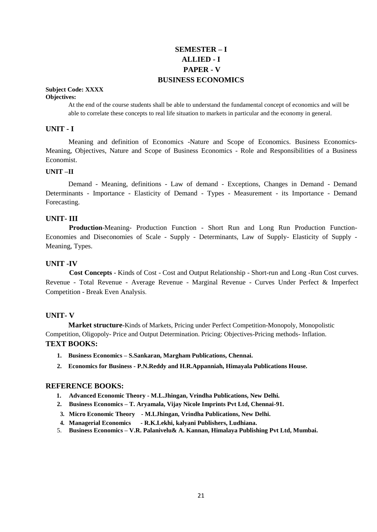#### **SEMESTER – I ALLIED - I PAPER - V BUSINESS ECONOMICS**

#### **Subject Code: XXXX**

#### **Objectives:**

At the end of the course students shall be able to understand the fundamental concept of economics and will be able to correlate these concepts to real life situation to markets in particular and the economy in general.

#### **UNIT - I**

Meaning and definition of Economics -Nature and Scope of Economics. Business Economics-Meaning, Objectives, Nature and Scope of Business Economics - Role and Responsibilities of a Business Economist.

#### **UNIT –II**

Demand - Meaning, definitions - Law of demand - Exceptions, Changes in Demand - Demand Determinants - Importance - Elasticity of Demand - Types - Measurement - its Importance - Demand Forecasting.

#### **UNIT- III**

**Production**-Meaning- Production Function - Short Run and Long Run Production Function-Economies and Diseconomies of Scale - Supply - Determinants, Law of Supply- Elasticity of Supply - Meaning, Types.

#### **UNIT -IV**

**Cost Concepts** - Kinds of Cost - Cost and Output Relationship - Short-run and Long -Run Cost curves. Revenue - Total Revenue - Average Revenue - Marginal Revenue - Curves Under Perfect & Imperfect Competition - Break Even Analysis.

#### **UNIT- V**

**Market structure-**Kinds of Markets, Pricing under Perfect Competition-Monopoly, Monopolistic Competition, Oligopoly- Price and Output Determination. Pricing: Objectives-Pricing methods- Inflation. **TEXT BOOKS:**

- **1. Business Economics – S.Sankaran, Margham Publications, Chennai.**
- **2. Economics for Business - P.N.Reddy and H.R.Appanniah, Himayala Publications House.**

- **1. Advanced Economic Theory - M.L.Jhingan, Vrindha Publications, New Delhi.**
- **2. Business Economics – T. Aryamala, Vijay Nicole Imprints Pvt Ltd, Chennai-91.**
- **3. Micro Economic Theory - M.LJhingan, Vrindha Publications, New Delhi.**
- **4. Managerial Economics - R.K.Lekhi, kalyani Publishers, Ludhiana.**
- 5. **Business Economics – V.R. Palanivelu& A. Kannan, Himalaya Publishing Pvt Ltd, Mumbai.**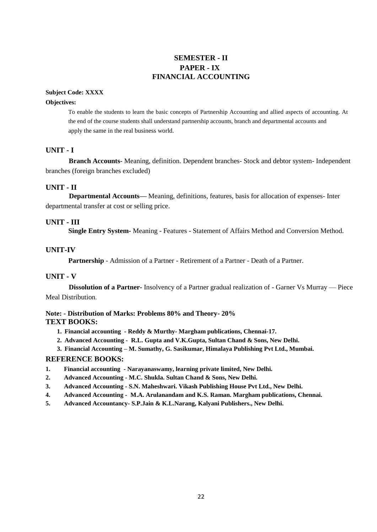#### **SEMESTER - II PAPER - IX FINANCIAL ACCOUNTING**

#### **Subject Code: XXXX**

#### **Objectives:**

To enable the students to learn the basic concepts of Partnership Accounting and allied aspects of accounting. At the end of the course students shall understand partnership accounts, branch and departmental accounts and apply the same in the real business world.

#### **UNIT - I**

**Branch Accounts-** Meaning, definition. Dependent branches- Stock and debtor system- Independent branches (foreign branches excluded)

#### **UNIT - II**

**Departmental Accounts—** Meaning, definitions, features, basis for allocation of expenses- Inter departmental transfer at cost or selling price.

#### **UNIT - III**

**Single Entry System-** Meaning - Features - Statement of Affairs Method and Conversion Method.

#### **UNIT-IV**

**Partnership** - Admission of a Partner - Retirement of a Partner - Death of a Partner.

#### **UNIT - V**

**Dissolution of a Partner-** Insolvency of a Partner gradual realization of - Garner Vs Murray — Piece Meal Distribution.

#### **Note: - Distribution of Marks: Problems 80% and Theory- 20% TEXT BOOKS:**

- **1. Financial accounting - Reddy & Murthy- Margham publications, Chennai-17.**
- **2. Advanced Accounting R.L. Gupta and V.K.Gupta, Sultan Chand & Sons, New Delhi.**
- **3. Financial Accounting – M. Sumathy, G. Sasikumar, Himalaya Publishing Pvt Ltd., Mumbai.**

- **1. Financial accounting - Narayanaswamy, learning private limited, New Delhi.**
- **2. Advanced Accounting - M.C. Shukla. Sultan Chand & Sons, New Delhi.**
- **3. Advanced Accounting - S.N. Maheshwari. Vikash Publishing House Pvt Ltd., New Delhi.**
- **4. Advanced Accounting M.A. Arulanandam and K.S. Raman. Margham publications, Chennai.**
- **5. Advanced Accountancy- S.P.Jain & K.L.Narang, Kalyani Publishers., New Delhi.**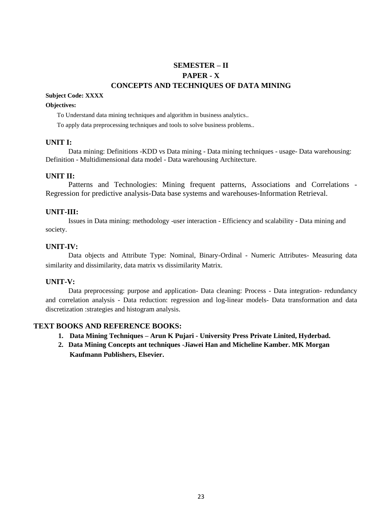### **SEMESTER – II PAPER - X CONCEPTS AND TECHNIQUES OF DATA MINING**

#### **Subject Code: XXXX**

#### **Objectives:**

To Understand data mining techniques and algorithm in business analytics..

To apply data preprocessing techniques and tools to solve business problems..

#### **UNIT I:**

Data mining: Definitions -KDD vs Data mining - Data mining techniques - usage- Data warehousing: Definition - Multidimensional data model - Data warehousing Architecture.

#### **UNIT II:**

Patterns and Technologies: Mining frequent patterns, Associations and Correlations - Regression for predictive analysis-Data base systems and warehouses-Information Retrieval.

#### **UNIT-III:**

Issues in Data mining: methodology -user interaction - Efficiency and scalability - Data mining and society.

#### **UNIT-IV:**

Data objects and Attribute Type: Nominal, Binary-Ordinal - Numeric Attributes- Measuring data similarity and dissimilarity, data matrix vs dissimilarity Matrix.

#### **UNIT-V:**

Data preprocessing: purpose and application- Data cleaning: Process - Data integration- redundancy and correlation analysis - Data reduction: regression and log-linear models- Data transformation and data discretization :strategies and histogram analysis.

#### **TEXT BOOKS AND REFERENCE BOOKS:**

- **1. Data Mining Techniques – Arun K Pujari - University Press Private Linited, Hyderbad.**
- **2. Data Mining Concepts ant techniques -Jiawei Han and Micheline Kamber. MK Morgan Kaufmann Publishers, Elsevier.**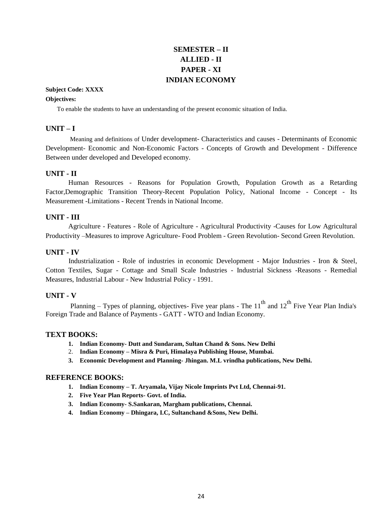### **SEMESTER – II ALLIED - II PAPER - XI INDIAN ECONOMY**

#### **Subject Code: XXXX**

#### **Objectives:**

To enable the students to have an understanding of the present economic situation of India.

#### **UNIT – I**

Meaning and definitions of Under development- Characteristics and causes - Determinants of Economic Development- Economic and Non-Economic Factors - Concepts of Growth and Development - Difference Between under developed and Developed economy.

#### **UNIT - II**

Human Resources - Reasons for Population Growth, Population Growth as a Retarding Factor,Demographic Transition Theory-Recent Population Policy, National Income - Concept - Its Measurement -Limitations - Recent Trends in National Income.

#### **UNIT - III**

Agriculture - Features - Role of Agriculture - Agricultural Productivity -Causes for Low Agricultural Productivity –Measures to improve Agriculture- Food Problem - Green Revolution- Second Green Revolution.

#### **UNIT - IV**

Industrialization - Role of industries in economic Development - Major Industries - Iron & Steel, Cotton Textiles, Sugar - Cottage and Small Scale Industries - Industrial Sickness -Reasons - Remedial Measures, Industrial Labour - New Industrial Policy - 1991.

#### **UNIT - V**

Planning – Types of planning, objectives- Five year plans - The  $11<sup>th</sup>$  and  $12<sup>th</sup>$  Five Year Plan India's Foreign Trade and Balance of Payments - GATT - WTO and Indian Economy.

#### **TEXT BOOKS:**

- **1. Indian Economy- Dutt and Sundaram, Sultan Chand & Sons. New Delhi**
- 2. **Indian Economy – Misra & Puri, Himalaya Publishing House, Mumbai.**
- **3. Economic Development and Planning- Jhingan. M.L vrindha publications, New Delhi.**

- **1. Indian Economy – T. Aryamala, Vijay Nicole Imprints Pvt Ltd, Chennai-91.**
- **2. Five Year Plan Reports- Govt. of India.**
- **3. Indian Economy- S.Sankaran, Margham publications, Chennai.**
- **4. Indian Economy – Dhingara, I.C, Sultanchand &Sons, New Delhi.**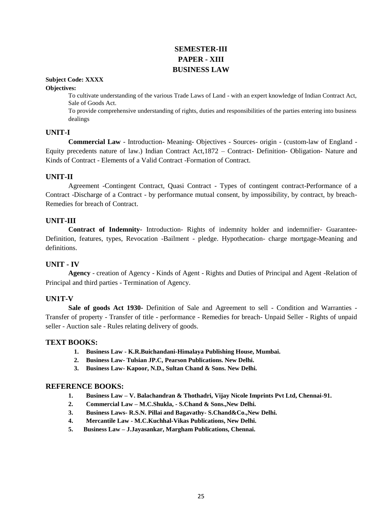## **SEMESTER-III PAPER - XIII BUSINESS LAW**

#### **Subject Code: XXXX**

#### **Objectives:**

To cultivate understanding of the various Trade Laws of Land - with an expert knowledge of Indian Contract Act, Sale of Goods Act.

To provide comprehensive understanding of rights, duties and responsibilities of the parties entering into business dealings

#### **UNIT-I**

**Commercial Law** - Introduction- Meaning- Objectives - Sources- origin - (custom-law of England - Equity precedents nature of law.) Indian Contract Act,1872 – Contract- Definition- Obligation- Nature and Kinds of Contract - Elements of a Valid Contract -Formation of Contract.

#### **UNIT-II**

Agreement -Contingent Contract, Quasi Contract - Types of contingent contract-Performance of a Contract -Discharge of a Contract - by performance mutual consent, by impossibility, by contract, by breach-Remedies for breach of Contract.

#### **UNIT-III**

**Contract of Indemnity-** Introduction- Rights of indemnity holder and indemnifier- Guarantee-Definition, features, types, Revocation -Bailment - pledge. Hypothecation- charge mortgage-Meaning and definitions.

#### **UNIT - IV**

**Agency** - creation of Agency - Kinds of Agent - Rights and Duties of Principal and Agent -Relation of Principal and third parties - Termination of Agency.

#### **UN1T-V**

**Sale of goods Act 1930-** Definition of Sale and Agreement to sell - Condition and Warranties - Transfer of property - Transfer of title - performance - Remedies for breach- Unpaid Seller - Rights of unpaid seller - Auction sale - Rules relating delivery of goods.

#### **TEXT BOOKS:**

- **1. Business Law - K.R.Buichandani-Himalaya Publishing House, Mumbai.**
- **2. Business Law- Tulsian JP.C, Pearson Publications. New Delhi.**
- **3. Business Law- Kapoor, N.D., Sultan Chand & Sons. New Delhi.**

- **1. Business Law – V. Balachandran & Thothadri, Vijay Nicole Imprints Pvt Ltd, Chennai-91.**
- **2. Commercial Law – M.C.Shukla, - S.Chand & Sons.,New Delhi.**
- **3. Business Laws- R.S.N. Pillai and Bagavathy- S.Chand&Co.,New Delhi.**
- **4. Mercantile Law - M.C.Kuchhal-Vikas Publications, New Delhi.**
- **5. Business Law – J.Jayasankar, Margham Publications, Chennai.**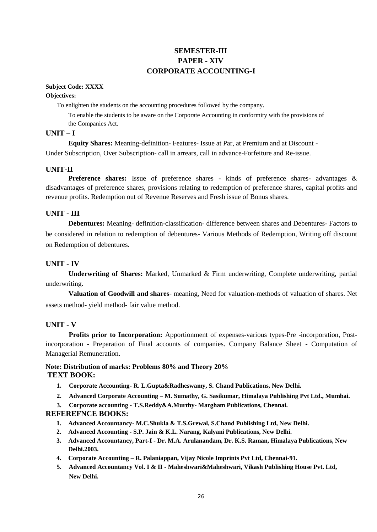#### **SEMESTER-III PAPER - XIV CORPORATE ACCOUNTING-I**

#### **Subject Code: XXXX Objectives:**

To enlighten the students on the accounting procedures followed by the company.

To enable the students to be aware on the Corporate Accounting in conformity with the provisions of the Companies Act.

#### **UNIT – I**

**Equity Shares:** Meaning-definition- Features- Issue at Par, at Premium and at Discount - Under Subscription, Over Subscription- call in arrears, call in advance-Forfeiture and Re-issue.

#### **UNIT-II**

**Preference shares:** Issue of preference shares - kinds of preference shares- advantages & disadvantages of preference shares, provisions relating to redemption of preference shares, capital profits and revenue profits. Redemption out of Revenue Reserves and Fresh issue of Bonus shares.

#### **UNIT - III**

**Debentures:** Meaning- definition-classification- difference between shares and Debentures- Factors to be considered in relation to redemption of debentures- Various Methods of Redemption, Writing off discount on Redemption of debentures.

#### **UNIT - IV**

**Underwriting of Shares:** Marked, Unmarked & Firm underwriting, Complete underwriting, partial underwriting.

**Valuation of Goodwill and shares**- meaning, Need for valuation-methods of valuation of shares. Net assets method- yield method- fair value method.

#### **UNIT - V**

**Profits prior to Incorporation:** Apportionment of expenses-various types-Pre -incorporation, Postincorporation - Preparation of Final accounts of companies. Company Balance Sheet - Computation of Managerial Remuneration.

#### **Note: Distribution of marks: Problems 80% and Theory 20% TEXT BOOK:**

- **1. Corporate Accounting- R. L.Gupta&Radheswamy, S. Chand Publications, New Delhi.**
- **2. Advanced Corporate Accounting – M. Sumathy, G. Sasikumar, Himalaya Publishing Pvt Ltd., Mumbai.**
- **3. Corporate accounting - T.S.Reddy&A.Murthy- Margham Publications, Chennai.**

- **1. Advanced Accountancy- M.C.Shukla & T.S.Grewal, S.Chand Publishing Ltd, New Delhi.**
- **2. Advanced Accounting - S.P. Jain & K.L. Narang, Kalyani Publications, New Delhi.**
- **3. Advanced Accountancy, Part-I - Dr. M.A. Arulanandam, Dr. K.S. Raman, Himalaya Publications, New Delhi.2003.**
- **4. Corporate Accounting – R. Palaniappan, Vijay Nicole Imprints Pvt Ltd, Chennai-91.**
- **5. Advanced Accountancy Vol. I & II - Maheshwari&Maheshwari, Vikash Publishing House Pvt. Ltd, New Delhi.**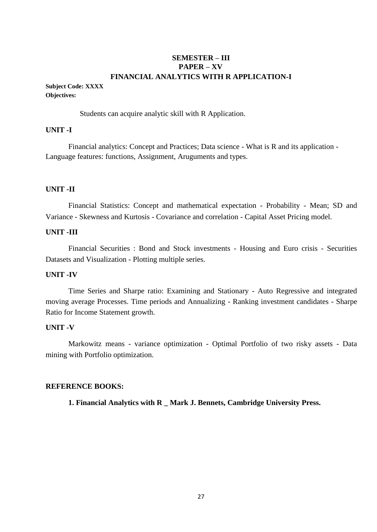#### **SEMESTER – III PAPER – XV FINANCIAL ANALYTICS WITH R APPLICATION-I**

#### **Subject Code: XXXX Objectives:**

Students can acquire analytic skill with R Application.

#### **UNIT -I**

Financial analytics: Concept and Practices; Data science - What is R and its application - Language features: functions, Assignment, Aruguments and types.

#### **UNIT -II**

Financial Statistics: Concept and mathematical expectation - Probability - Mean; SD and Variance - Skewness and Kurtosis - Covariance and correlation - Capital Asset Pricing model.

#### **UNIT -III**

Financial Securities : Bond and Stock investments - Housing and Euro crisis - Securities Datasets and Visualization - Plotting multiple series.

#### **UNIT -IV**

Time Series and Sharpe ratio: Examining and Stationary - Auto Regressive and integrated moving average Processes. Time periods and Annualizing - Ranking investment candidates - Sharpe Ratio for Income Statement growth.

#### **UNIT -V**

Markowitz means - variance optimization - Optimal Portfolio of two risky assets - Data mining with Portfolio optimization.

#### **REFERENCE BOOKS:**

**1. Financial Analytics with R \_ Mark J. Bennets, Cambridge University Press.**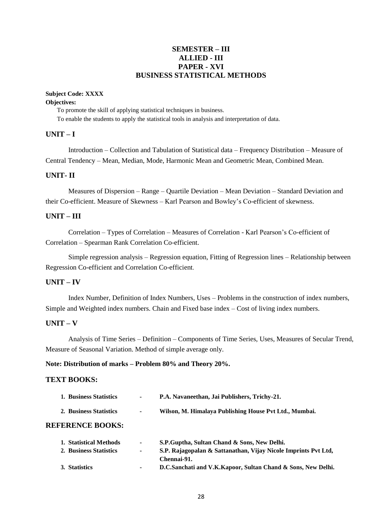#### **SEMESTER – III ALLIED - III PAPER - XVI BUSINESS STATISTICAL METHODS**

#### **Subject Code: XXXX**

#### **Objectives:**

To promote the skill of applying statistical techniques in business. To enable the students to apply the statistical tools in analysis and interpretation of data.

#### **UNIT – I**

Introduction – Collection and Tabulation of Statistical data – Frequency Distribution – Measure of Central Tendency – Mean, Median, Mode, Harmonic Mean and Geometric Mean, Combined Mean.

#### **UNIT- II**

Measures of Dispersion – Range – Quartile Deviation – Mean Deviation – Standard Deviation and their Co-efficient. Measure of Skewness – Karl Pearson and Bowley's Co-efficient of skewness.

#### **UNIT – III**

Correlation – Types of Correlation – Measures of Correlation - Karl Pearson's Co-efficient of Correlation – Spearman Rank Correlation Co-efficient.

Simple regression analysis – Regression equation, Fitting of Regression lines – Relationship between Regression Co-efficient and Correlation Co-efficient.

#### **UNIT – IV**

Index Number, Definition of Index Numbers, Uses – Problems in the construction of index numbers, Simple and Weighted index numbers. Chain and Fixed base index – Cost of living index numbers.

#### **UNIT – V**

Analysis of Time Series – Definition – Components of Time Series, Uses, Measures of Secular Trend, Measure of Seasonal Variation. Method of simple average only.

#### **Note: Distribution of marks – Problem 80% and Theory 20%.**

#### **TEXT BOOKS:**

| 1. Business Statistics  | $\blacksquare$ | P.A. Navaneethan, Jai Publishers, Trichy-21.           |
|-------------------------|----------------|--------------------------------------------------------|
| 2. Business Statistics  | $\blacksquare$ | Wilson, M. Himalaya Publishing House Pvt Ltd., Mumbai. |
| <b>REFERENCE BOOKS:</b> |                |                                                        |

| 1. Statistical Methods | $\blacksquare$ | S.P.Guptha, Sultan Chand & Sons, New Delhi.                    |
|------------------------|----------------|----------------------------------------------------------------|
| 2. Business Statistics | $\sim$         | S.P. Rajagopalan & Sattanathan, Vijay Nicole Imprints Pvt Ltd. |
|                        |                | Chennai-91.                                                    |
| 3. Statistics          |                | D.C.Sanchati and V.K.Kapoor, Sultan Chand & Sons, New Delhi.   |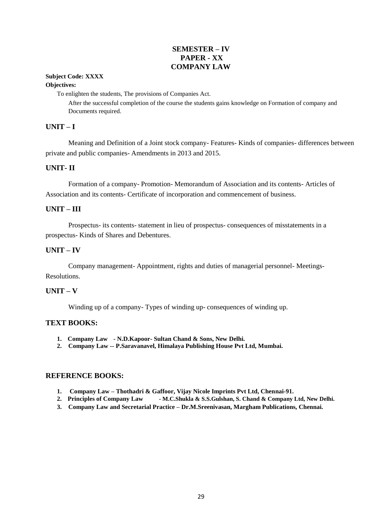#### **SEMESTER – IV PAPER - XX COMPANY LAW**

## **Subject Code: XXXX**

#### **Objectives:**

To enlighten the students, The provisions of Companies Act.

After the successful completion of the course the students gains knowledge on Formation of company and Documents required.

#### **UNIT – I**

Meaning and Definition of a Joint stock company- Features- Kinds of companies- differences between private and public companies- Amendments in 2013 and 2015.

#### **UNIT- II**

Formation of a company- Promotion- Memorandum of Association and its contents- Articles of Association and its contents- Certificate of incorporation and commencement of business.

#### **UNIT – III**

Prospectus- its contents- statement in lieu of prospectus- consequences of misstatements in a prospectus- Kinds of Shares and Debentures.

#### **UNIT – IV**

Company management- Appointment, rights and duties of managerial personnel- Meetings-Resolutions.

#### **UNIT – V**

Winding up of a company- Types of winding up- consequences of winding up.

#### **TEXT BOOKS:**

- **1. Company Law - N.D.Kapoor- Sultan Chand & Sons, New Delhi.**
- **2. Company Law -- P.Saravanavel, Himalaya Publishing House Pvt Ltd, Mumbai.**

- **1. Company Law – Thothadri & Gaffoor, Vijay Nicole Imprints Pvt Ltd, Chennai-91.**
- **2. Principles of Company Law - M.C.Shukla & S.S.Gulshan, S. Chand & Company Ltd, New Delhi.**
- **3. Company Law and Secretarial Practice – Dr.M.Sreenivasan, Margham Publications, Chennai.**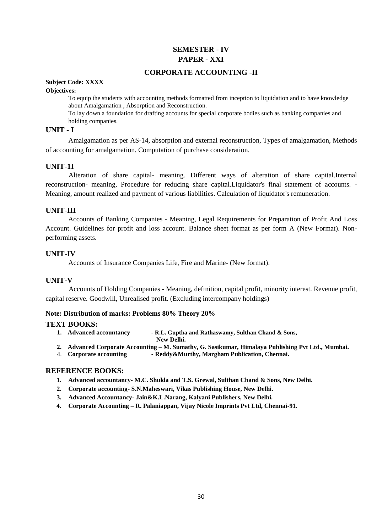### **SEMESTER - IV PAPER - XXI**

#### **CORPORATE ACCOUNTING -II**

**Subject Code: XXXX**

#### **Objectives:**

To equip the students with accounting methods formatted from inception to liquidation and to have knowledge about Amalgamation , Absorption and Reconstruction.

To lay down a foundation for drafting accounts for special corporate bodies such as banking companies and holding companies.

#### **UNIT - I**

Amalgamation as per AS-14, absorption and external reconstruction, Types of amalgamation, Methods of accounting for amalgamation. Computation of purchase consideration.

#### **UNIT-1I**

Alteration of share capital- meaning. Different ways of alteration of share capital.Internal reconstruction- meaning, Procedure for reducing share capital.Liquidator's final statement of accounts. - Meaning, amount realized and payment of various liabilities. Calculation of liquidator's remuneration.

#### **UNIT-III**

Accounts of Banking Companies - Meaning, Legal Requirements for Preparation of Profit And Loss Account. Guidelines for profit and loss account. Balance sheet format as per form A (New Format). Nonperforming assets.

#### **UNIT-IV**

Accounts of Insurance Companies Life, Fire and Marine- (New format).

#### **UNIT-V**

Accounts of Holding Companies - Meaning, definition, capital profit, minority interest. Revenue profit, capital reserve. Goodwill, Unrealised profit. (Excluding intercompany holdings)

#### **Note: Distribution of marks: Problems 80% Theory 20%**

#### **TEXT BOOKS:**

- **1. Advanced accountancy - R.L. Guptha and Rathaswamy, Sulthan Chand & Sons, New Delhi.**
- **2. Advanced Corporate Accounting – M. Sumathy, G. Sasikumar, Himalaya Publishing Pvt Ltd., Mumbai.**
- 4. **Corporate accounting - Reddy&Murthy, Margham Publication, Chennai.**

- **1. Advanced accountancy- M.C. Shukla and T.S. Grewal, Sulthan Chand & Sons, New Delhi.**
- **2. Corporate accounting- S.N.Maheswari, Vikas Publishing House, New Delhi.**
- **3. Advanced Accountancy- Jain&K.L.Narang, Kalyani Publishers, New Delhi.**
- **4. Corporate Accounting – R. Palaniappan, Vijay Nicole Imprints Pvt Ltd, Chennai-91.**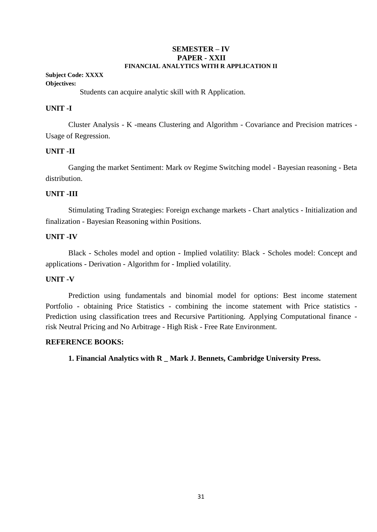#### **SEMESTER – IV PAPER - XXII FINANCIAL ANALYTICS WITH R APPLICATION II**

#### **Subject Code: XXXX Objectives:**

Students can acquire analytic skill with R Application.

#### **UNIT -I**

Cluster Analysis - K -means Clustering and Algorithm - Covariance and Precision matrices - Usage of Regression.

#### **UNIT -II**

Ganging the market Sentiment: Mark ov Regime Switching model - Bayesian reasoning - Beta distribution.

#### **UNIT -III**

Stimulating Trading Strategies: Foreign exchange markets - Chart analytics - Initialization and finalization - Bayesian Reasoning within Positions.

#### **UNIT -IV**

Black - Scholes model and option - Implied volatility: Black - Scholes model: Concept and applications - Derivation - Algorithm for - Implied volatility.

#### **UNIT -V**

Prediction using fundamentals and binomial model for options: Best income statement Portfolio - obtaining Price Statistics - combining the income statement with Price statistics - Prediction using classification trees and Recursive Partitioning. Applying Computational finance risk Neutral Pricing and No Arbitrage - High Risk - Free Rate Environment.

#### **REFERENCE BOOKS:**

**1. Financial Analytics with R \_ Mark J. Bennets, Cambridge University Press.**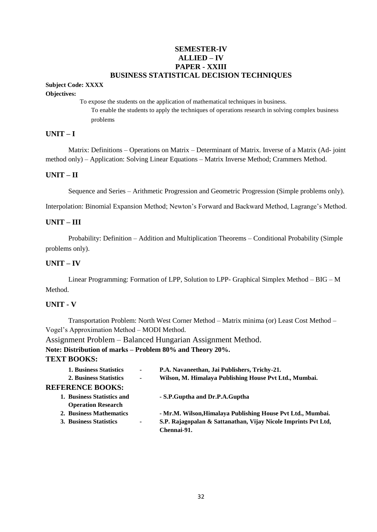#### **SEMESTER-IV ALLIED – IV PAPER - XXIII BUSINESS STATISTICAL DECISION TECHNIQUES**

## **Subject Code: XXXX**

#### **Objectives:**

To expose the students on the application of mathematical techniques in business. To enable the students to apply the techniques of operations research in solving complex business problems

#### **UNIT – I**

Matrix: Definitions – Operations on Matrix – Determinant of Matrix. Inverse of a Matrix (Ad- joint method only) – Application: Solving Linear Equations – Matrix Inverse Method; Crammers Method.

#### **UNIT – II**

Sequence and Series – Arithmetic Progression and Geometric Progression (Simple problems only).

Interpolation: Binomial Expansion Method; Newton's Forward and Backward Method, Lagrange's Method.

#### **UNIT – III**

Probability: Definition – Addition and Multiplication Theorems – Conditional Probability (Simple problems only).

#### **UNIT – IV**

Linear Programming: Formation of LPP, Solution to LPP- Graphical Simplex Method – BIG – M Method.

#### **UNIT - V**

Transportation Problem: North West Corner Method – Matrix minima (or) Least Cost Method – Vogel's Approximation Method – MODI Method.

Assignment Problem – Balanced Hungarian Assignment Method.

**Note: Distribution of marks – Problem 80% and Theory 20%.**

#### **TEXT BOOKS:**

| <b>1. Business Statistics</b> | $\blacksquare$                                                                                             | P.A. Navaneethan, Jai Publishers, Trichy-21.                                  |
|-------------------------------|------------------------------------------------------------------------------------------------------------|-------------------------------------------------------------------------------|
| 2. Business Statistics        | $\blacksquare$                                                                                             | Wilson, M. Himalaya Publishing House Pvt Ltd., Mumbai.                        |
|                               |                                                                                                            |                                                                               |
|                               |                                                                                                            | - S.P. Guptha and Dr.P.A. Guptha                                              |
| <b>Operation Research</b>     |                                                                                                            |                                                                               |
|                               |                                                                                                            | - Mr.M. Wilson, Himalaya Publishing House Pvt Ltd., Mumbai.                   |
|                               | $\blacksquare$                                                                                             | S.P. Rajagopalan & Sattanathan, Vijay Nicole Imprints Pvt Ltd,<br>Chennai-91. |
|                               | <b>REFERENCE BOOKS:</b><br>1. Business Statistics and<br>2. Business Mathematics<br>3. Business Statistics |                                                                               |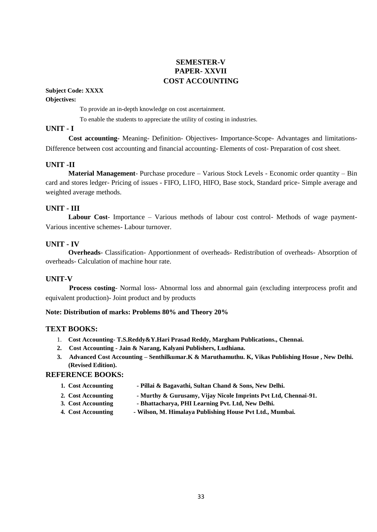#### **SEMESTER-V PAPER- XXVII COST ACCOUNTING**

#### **Subject Code: XXXX**

#### **Objectives:**

To provide an in-depth knowledge on cost ascertainment.

To enable the students to appreciate the utility of costing in industries.

#### **UNIT - I**

**Cost accounting-** Meaning- Definition- Objectives- Importance-Scope- Advantages and limitations-Difference between cost accounting and financial accounting- Elements of cost- Preparation of cost sheet.

#### **UNIT -II**

**Material Management**- Purchase procedure – Various Stock Levels - Economic order quantity – Bin card and stores ledger- Pricing of issues - FIFO, L1FO, HIFO, Base stock, Standard price- Simple average and weighted average methods.

#### **UNIT - III**

**Labour Cost**- Importance – Various methods of labour cost control- Methods of wage payment-Various incentive schemes- Labour turnover.

#### **UNIT - IV**

**Overheads**- Classification- Apportionment of overheads- Redistribution of overheads- Absorption of overheads- Calculation of machine hour rate.

#### **UNIT-V**

**Process costing**- Normal loss- Abnormal loss and abnormal gain (excluding interprocess profit and equivalent production)- Joint product and by products

#### **Note: Distribution of marks: Problems 80% and Theory 20%**

#### **TEXT BOOKS:**

- 1. **Cost Accounting- T.S.Reddy&Y.Hari Prasad Reddy, Margham Publications., Chennai.**
- **2. Cost Accounting - Jain & Narang, Kalyani Publishers, Ludhiana.**
- **3. Advanced Cost Accounting – Senthilkumar.K & Maruthamuthu. K, Vikas Publishing Hosue , New Delhi. (Revised Edition).**

- **1. Cost Accounting - Pillai & Bagavathi, Sultan Chand & Sons, New Delhi.**
- **2. Cost Accounting - Murthy & Gurusamy, Vijay Nicole Imprints Pvt Ltd, Chennai-91.**
- **3. Cost Accounting - Bhattacharya, PHI Learning Pvt. Ltd, New Delhi.**
- **4. Cost Accounting - Wilson, M. Himalaya Publishing House Pvt Ltd., Mumbai.**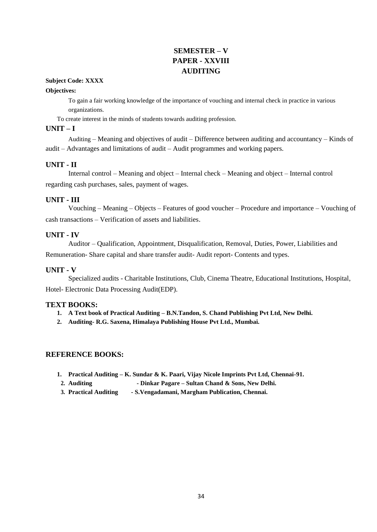## **SEMESTER – V PAPER - XXVIII AUDITING**

#### **Subject Code: XXXX**

#### **Objectives:**

To gain a fair working knowledge of the importance of vouching and internal check in practice in various organizations.

To create interest in the minds of students towards auditing profession.

#### **UNIT – I**

Auditing – Meaning and objectives of audit – Difference between auditing and accountancy – Kinds of audit – Advantages and limitations of audit – Audit programmes and working papers.

#### **UNIT - II**

Internal control – Meaning and object – Internal check – Meaning and object – Internal control regarding cash purchases, sales, payment of wages.

#### **UNIT - III**

Vouching – Meaning – Objects – Features of good voucher – Procedure and importance – Vouching of cash transactions – Verification of assets and liabilities.

#### **UNIT - IV**

Auditor – Qualification, Appointment, Disqualification, Removal, Duties, Power, Liabilities and Remuneration- Share capital and share transfer audit- Audit report- Contents and types.

#### **UNIT - V**

Specialized audits - Charitable Institutions, Club, Cinema Theatre, Educational Institutions, Hospital, Hotel- Electronic Data Processing Audit(EDP).

#### **TEXT BOOKS:**

- **1. A Text book of Practical Auditing – B.N.Tandon, S. Chand Publishing Pvt Ltd, New Delhi.**
- **2. Auditing- R.G. Saxena, Himalaya Publishing House Pvt Ltd., Mumbai.**

- **1. Practical Auditing – K. Sundar & K. Paari, Vijay Nicole Imprints Pvt Ltd, Chennai-91.**
	- **2. Auditing - Dinkar Pagare – Sultan Chand & Sons, New Delhi.**
- **3. Practical Auditing - S.Vengadamani, Margham Publication, Chennai.**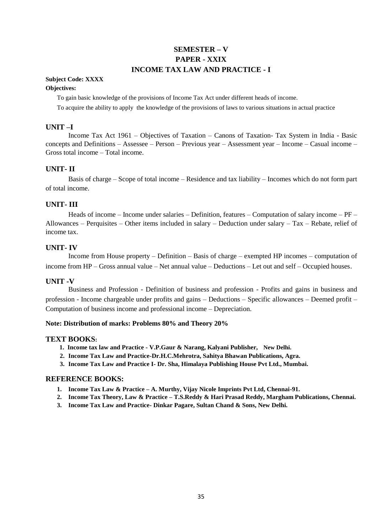## **SEMESTER – V PAPER - XXIX INCOME TAX LAW AND PRACTICE - I**

#### **Subject Code: XXXX**

#### **Objectives:**

To gain basic knowledge of the provisions of Income Tax Act under different heads of income.

To acquire the ability to apply the knowledge of the provisions of laws to various situations in actual practice

#### **UNIT –I**

Income Tax Act 1961 – Objectives of Taxation – Canons of Taxation- Tax System in India - Basic concepts and Definitions – Assessee – Person – Previous year – Assessment year – Income – Casual income – Gross total income – Total income.

#### **UNIT- II**

Basis of charge – Scope of total income – Residence and tax liability – Incomes which do not form part of total income.

#### **UNIT- III**

Heads of income – Income under salaries – Definition, features – Computation of salary income – PF – Allowances – Perquisites – Other items included in salary – Deduction under salary – Tax – Rebate, relief of income tax.

#### **UNIT- IV**

Income from House property – Definition – Basis of charge – exempted HP incomes – computation of income from HP – Gross annual value – Net annual value – Deductions – Let out and self – Occupied houses.

#### **UNIT -V**

Business and Profession - Definition of business and profession - Profits and gains in business and profession - Income chargeable under profits and gains – Deductions – Specific allowances – Deemed profit – Computation of business income and professional income – Depreciation.

#### **Note: Distribution of marks: Problems 80% and Theory 20%**

#### **TEXT BOOKS:**

- **1. Income tax law and Practice - V.P.Gaur & Narang, Kalyani Publisher, New Delhi.**
- **2. Income Tax Law and Practice-Dr.H.C.Mehrotra, Sahitya Bhawan Publications, Agra.**
- **3. Income Tax Law and Practice I- Dr. Sha, Himalaya Publishing House Pvt Ltd., Mumbai.**

- **1. Income Tax Law & Practice – A. Murthy, Vijay Nicole Imprints Pvt Ltd, Chennai-91.**
- **2. Income Tax Theory, Law & Practice – T.S.Reddy & Hari Prasad Reddy, Margham Publications, Chennai.**
- **3. Income Tax Law and Practice- Dinkar Pagare, Sultan Chand & Sons, New Delhi.**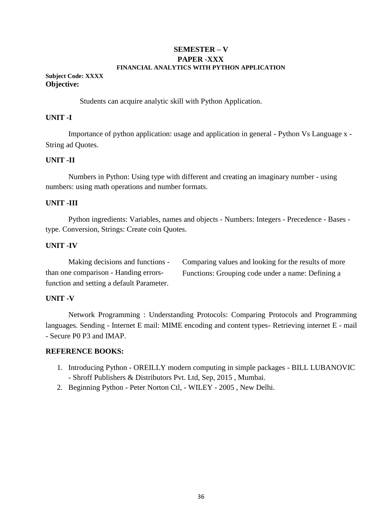#### **SEMESTER – V PAPER -XXX FINANCIAL ANALYTICS WITH PYTHON APPLICATION**

#### **Subject Code: XXXX Objective:**

Students can acquire analytic skill with Python Application.

#### **UNIT -I**

Importance of python application: usage and application in general - Python Vs Language x - String ad Quotes.

#### **UNIT -II**

Numbers in Python: Using type with different and creating an imaginary number - using numbers: using math operations and number formats.

#### **UNIT -III**

Python ingredients: Variables, names and objects - Numbers: Integers - Precedence - Bases type. Conversion, Strings: Create coin Quotes.

#### **UNIT -IV**

Making decisions and functions than one comparison - Handing errorsfunction and setting a default Parameter. Comparing values and looking for the results of more Functions: Grouping code under a name: Defining a

#### **UNIT -V**

Network Programming : Understanding Protocols: Comparing Protocols and Programming languages. Sending - Internet E mail: MIME encoding and content types- Retrieving internet E - mail - Secure P0 P3 and IMAP.

- 1. Introducing Python OREILLY modern computing in simple packages BILL LUBANOVIC - Shroff Publishers & Distributors Pvt. Ltd, Sep, 2015 , Mumbai.
- 2. Beginning Python Peter Norton Ctl, WILEY 2005 , New Delhi.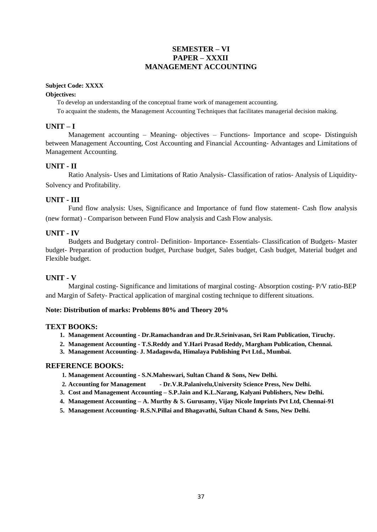#### **SEMESTER – VI PAPER – XXXII MANAGEMENT ACCOUNTING**

#### **Subject Code: XXXX**

#### **Objectives:**

To develop an understanding of the conceptual frame work of management accounting.

To acquaint the students, the Management Accounting Techniques that facilitates managerial decision making.

#### **UNIT – I**

Management accounting – Meaning- objectives – Functions- Importance and scope- Distinguish between Management Accounting, Cost Accounting and Financial Accounting- Advantages and Limitations of Management Accounting.

#### **UNIT - II**

Ratio Analysis- Uses and Limitations of Ratio Analysis- Classification of ratios- Analysis of Liquidity-Solvency and Profitability.

#### **UNIT - III**

Fund flow analysis: Uses, Significance and Importance of fund flow statement- Cash flow analysis (new format) - Comparison between Fund Flow analysis and Cash Flow analysis.

#### **UNIT - IV**

Budgets and Budgetary control- Definition- Importance- Essentials- Classification of Budgets- Master budget- Preparation of production budget, Purchase budget, Sales budget, Cash budget, Material budget and Flexible budget.

#### **UNIT - V**

Marginal costing- Significance and limitations of marginal costing- Absorption costing- P/V ratio-BEP and Margin of Safety- Practical application of marginal costing technique to different situations.

#### **Note: Distribution of marks: Problems 80% and Theory 20%**

#### **TEXT BOOKS:**

- **1. Management Accounting - Dr.Ramachandran and Dr.R.Srinivasan, Sri Ram Publication, Tiruchy.**
- **2. Management Accounting - T.S.Reddy and Y.Hari Prasad Reddy, Margham Publication, Chennai.**
- **3. Management Accounting- J. Madagowda, Himalaya Publishing Pvt Ltd., Mumbai.**

- **1. Management Accounting - S.N.Maheswari, Sultan Chand & Sons, New Delhi.**
- **2. Accounting for Management - Dr.V.R.Palanivelu,University Science Press, New Delhi.**
- **3. Cost and Management Accounting – S.P.Jain and K.L.Narang, Kalyani Publishers, New Delhi.**
- **4. Management Accounting – A. Murthy & S. Gurusamy, Vijay Nicole Imprints Pvt Ltd, Chennai-91**
- **5. Management Accounting- R.S.N.Pillai and Bhagavathi, Sultan Chand & Sons, New Delhi.**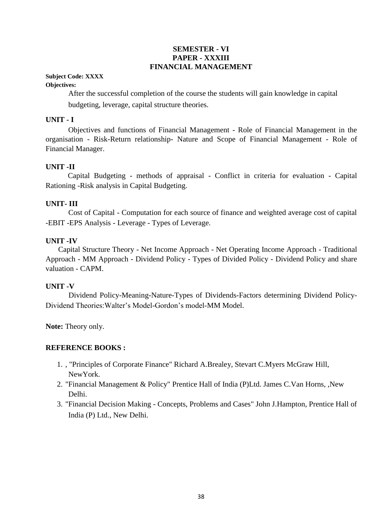#### **SEMESTER - VI PAPER - XXXIII FINANCIAL MANAGEMENT**

#### **Subject Code: XXXX**

#### **Objectives:**

After the successful completion of the course the students will gain knowledge in capital budgeting, leverage, capital structure theories.

#### **UNIT - I**

Objectives and functions of Financial Management - Role of Financial Management in the organisation - Risk-Return relationship- Nature and Scope of Financial Management - Role of Financial Manager.

#### **UNIT -II**

Capital Budgeting - methods of appraisal - Conflict in criteria for evaluation - Capital Rationing -Risk analysis in Capital Budgeting.

#### **UNIT- III**

Cost of Capital - Computation for each source of finance and weighted average cost of capital -EBIT -EPS Analysis - Leverage - Types of Leverage.

#### **UNIT -IV**

Capital Structure Theory - Net Income Approach - Net Operating Income Approach - Traditional Approach - MM Approach - Dividend Policy - Types of Divided Policy - Dividend Policy and share valuation - CAPM.

#### **UNIT -V**

Dividend Policy-Meaning-Nature-Types of Dividends-Factors determining Dividend Policy-Dividend Theories:Walter's Model-Gordon's model-MM Model.

**Note:** Theory only.

- 1. , "Principles of Corporate Finance" Richard A.Brealey, Stevart C.Myers McGraw Hill, NewYork.
- 2. "Financial Management & Policy" Prentice Hall of India (P)Ltd. James C.Van Horns, ,New Delhi.
- 3. "Financial Decision Making Concepts, Problems and Cases" John J.Hampton, Prentice Hall of India (P) Ltd., New Delhi.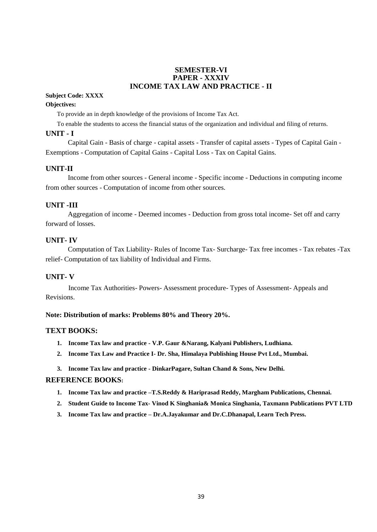#### **SEMESTER-VI PAPER - XXXIV INCOME TAX LAW AND PRACTICE - II**

#### **Subject Code: XXXX**

#### **Objectives:**

To provide an in depth knowledge of the provisions of Income Tax Act.

To enable the students to access the financial status of the organization and individual and filing of returns.

#### **UNIT - I**

Capital Gain - Basis of charge - capital assets - Transfer of capital assets - Types of Capital Gain - Exemptions - Computation of Capital Gains - Capital Loss - Tax on Capital Gains.

#### **UNIT-II**

Income from other sources - General income - Specific income - Deductions in computing income from other sources - Computation of income from other sources.

#### **UNIT -III**

Aggregation of income - Deemed incomes - Deduction from gross total income- Set off and carry forward of losses.

#### **UNIT- IV**

Computation of Tax Liability- Rules of Income Tax- Surcharge- Tax free incomes - Tax rebates -Tax relief- Computation of tax liability of Individual and Firms.

#### **UNIT- V**

Income Tax Authorities- Powers- Assessment procedure- Types of Assessment- Appeals and Revisions.

#### **Note: Distribution of marks: Problems 80% and Theory 20%.**

#### **TEXT BOOKS:**

- **1. Income Tax law and practice - V.P. Gaur &Narang, Kalyani Publishers, Ludhiana.**
- **2. Income Tax Law and Practice I- Dr. Sha, Himalaya Publishing House Pvt Ltd., Mumbai.**
- **3. Income Tax law and practice - DinkarPagare, Sultan Chand & Sons, New Delhi.**

- **1. Income Tax law and practice –T.S.Reddy & Hariprasad Reddy, Margham Publications, Chennai.**
- **2. Student Guide to Income Tax- Vinod K Singhania& Monica Singhania, Taxmann Publications PVT LTD**
- **3. Income Tax law and practice – Dr.A.Jayakumar and Dr.C.Dhanapal, Learn Tech Press.**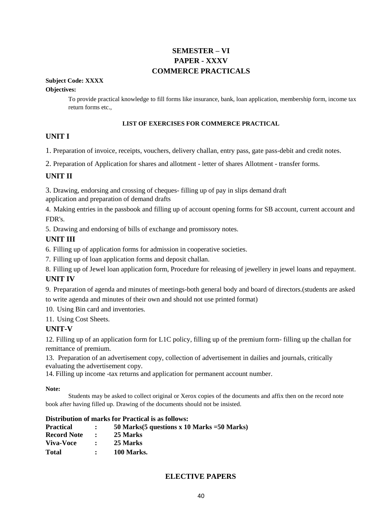## **SEMESTER – VI PAPER - XXXV COMMERCE PRACTICALS**

**Subject Code: XXXX**

#### **Objectives:**

To provide practical knowledge to fill forms like insurance, bank, loan application, membership form, income tax return forms etc.,

#### **LIST OF EXERCISES FOR COMMERCE PRACTICAL**

#### **UNIT I**

1. Preparation of invoice, receipts, vouchers, delivery challan, entry pass, gate pass-debit and credit notes.

2. Preparation of Application for shares and allotment - letter of shares Allotment - transfer forms.

#### **UNIT II**

3. Drawing, endorsing and crossing of cheques- filling up of pay in slips demand draft

application and preparation of demand drafts

4. Making entries in the passbook and filling up of account opening forms for SB account, current account and FDR's.

5. Drawing and endorsing of bills of exchange and promissory notes.

#### **UNIT III**

6. Filling up of application forms for admission in cooperative societies.

7. Filling up of loan application forms and deposit challan.

8. Filling up of Jewel loan application form, Procedure for releasing of jewellery in jewel loans and repayment.

#### **UNIT IV**

9. Preparation of agenda and minutes of meetings-both general body and board of directors.(students are asked to write agenda and minutes of their own and should not use printed format)

10. Using Bin card and inventories.

11. Using Cost Sheets.

#### **UNIT-V**

12. Filling up of an application form for L1C policy, filling up of the premium form- filling up the challan for remittance of premium.

13. Preparation of an advertisement copy, collection of advertisement in dailies and journals, critically evaluating the advertisement copy.

14. Filling up income -tax returns and application for permanent account number.

#### **Note:**

Students may be asked to collect original or Xerox copies of the documents and affix then on the record note book after having filled up. Drawing of the documents should not be insisted.

#### **Distribution of marks for Practical is as follows:**

| <b>Practical</b>   | $\mathbf{r}$                                                                   | 50 Marks $(5$ questions x 10 Marks = 50 Marks) |
|--------------------|--------------------------------------------------------------------------------|------------------------------------------------|
| <b>Record Note</b> | $\sim$ $\sim$ $\sim$                                                           | 25 Marks                                       |
| <b>Viva-Voce</b>   | $\mathcal{L}^{\text{max}}(\mathbf{X})$ . The set of $\mathcal{L}^{\text{max}}$ | 25 Marks                                       |
| <b>Total</b>       | $\mathbf{r}$                                                                   | 100 Marks.                                     |

#### **ELECTIVE PAPERS**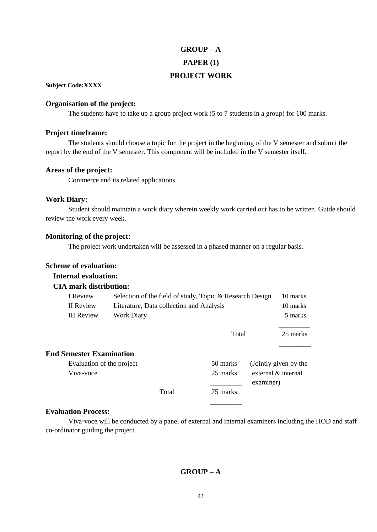## **GROUP – A PAPER (1) PROJECT WORK**

**Subject Code:XXXX**

#### **Organisation of the project:**

The students have to take up a group project work (5 to 7 students in a group) for 100 marks.

#### **Project timeframe:**

The students should choose a topic for the project in the beginning of the V semester and submit the report by the end of the V semester. This component will be included in the V semester itself.

#### **Areas of the project:**

Commerce and its related applications.

#### **Work Diary:**

Student should maintain a work diary wherein weekly work carried out has to be written. Guide should review the work every week.

#### **Monitoring of the project:**

The project work undertaken will be assessed in a phased manner on a regular basis.

#### **Scheme of evaluation:**

#### **Internal evaluation:**

#### **CIA mark distribution:**

| I Review                        | Selection of the field of study, Topic & Research Design |          |                       | 10 marks |
|---------------------------------|----------------------------------------------------------|----------|-----------------------|----------|
| II Review                       | Literature, Data collection and Analysis                 |          |                       | 10 marks |
| III Review                      | <b>Work Diary</b>                                        |          |                       | 5 marks  |
|                                 |                                                          | Total    |                       | 25 marks |
| <b>End Semester Examination</b> |                                                          |          |                       |          |
| Evaluation of the project       | 50 marks                                                 |          | (Jointly given by the |          |
| Viva-voce                       |                                                          | 25 marks | external & internal   |          |
|                                 |                                                          |          | examiner)             |          |
|                                 | Total                                                    | 75 marks |                       |          |
|                                 |                                                          |          |                       |          |

#### **Evaluation Process:**

Viva-voce will be conducted by a panel of external and internal examiners including the HOD and staff co-ordinator guiding the project.

#### **GROUP – A**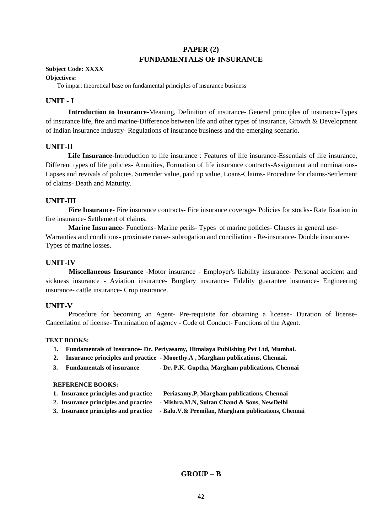#### **PAPER (2) FUNDAMENTALS OF INSURANCE**

#### **Subject Code: XXXX**

#### **Objectives:**

To impart theoretical base on fundamental principles of insurance business

#### **UNIT - I**

**Introduction to Insurance**-Meaning, Definition of insurance- General principles of insurance-Types of insurance life, fire and marine-Difference between life and other types of insurance, Growth & Development of Indian insurance industry- Regulations of insurance business and the emerging scenario.

#### **UNIT-II**

**Life Insurance**-Introduction to life insurance : Features of life insurance-Essentials of life insurance, Different types of life policies- Annuities, Formation of life insurance contracts-Assignment and nominations-Lapses and revivals of policies. Surrender value, paid up value, Loans-Claims- Procedure for claims-Settlement of claims- Death and Maturity.

#### **UNIT-III**

**Fire Insurance-** Fire insurance contracts- Fire insurance coverage- Policies for stocks- Rate fixation in fire insurance- Settlement of claims.

**Marine Insurance-** Functions- Marine perils- Types of marine policies- Clauses in general use-Warranties and conditions- proximate cause- subrogation and conciliation - Re-insurance- Double insurance-Types of marine losses.

#### **UNIT-IV**

**Miscellaneous Insurance** -Motor insurance - Employer's liability insurance- Personal accident and sickness insurance - Aviation insurance- Burglary insurance- Fidelity guarantee insurance- Engineering insurance- cattle insurance- Crop insurance.

#### **UNIT-V**

Procedure for becoming an Agent- Pre-requisite for obtaining a license- Duration of license-Cancellation of license- Termination of agency - Code of Conduct- Functions of the Agent.

#### **TEXT BOOKS:**

- **1. Fundamentals of Insurance- Dr. Periyasamy, Himalaya Publishing Pvt Ltd, Mumbai.**
- **2. Insurance principles and practice - Moorthy.A , Margham publications, Chennai.**
- **3. Fundamentals of insurance - Dr. P.K. Guptha, Margham publications, Chennai**

#### **REFERENCE BOOKS:**

- **1. Insurance principles and practice - Periasamy.P, Margham publications, Chennai**
- **2. Insurance principles and practice - Mishra.M.N, Sultan Chand & Sons, NewDelhi**
- **3. Insurance principles and practice - Balu.V.& Premilan, Margham publications, Chennai**

#### **GROUP – B**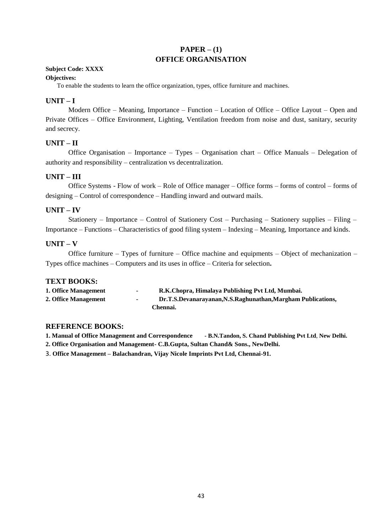#### **PAPER – (1) OFFICE ORGANISATION**

#### **Subject Code: XXXX**

#### **Objectives:**

To enable the students to learn the office organization, types, office furniture and machines.

#### **UNIT – I**

Modern Office – Meaning, Importance – Function – Location of Office – Office Layout – Open and Private Offices – Office Environment, Lighting, Ventilation freedom from noise and dust, sanitary, security and secrecy.

#### **UNIT – II**

Office Organisation – Importance – Types – Organisation chart – Office Manuals – Delegation of authority and responsibility – centralization vs decentralization.

#### **UNIT – III**

Office Systems - Flow of work – Role of Office manager – Office forms – forms of control – forms of designing – Control of correspondence – Handling inward and outward mails.

#### **UNIT – IV**

Stationery – Importance – Control of Stationery Cost – Purchasing – Stationery supplies – Filing – Importance – Functions – Characteristics of good filing system – Indexing – Meaning, Importance and kinds.

#### **UNIT – V**

Office furniture – Types of furniture – Office machine and equipments – Object of mechanization – Types office machines – Computers and its uses in office – Criteria for selection**.**

#### **TEXT BOOKS:**

| 1. Office Management | $\sim$ | R.K.Chopra, Himalaya Publishing Pvt Ltd, Mumbai.             |
|----------------------|--------|--------------------------------------------------------------|
| 2. Office Management | $\sim$ | Dr.T.S.Devanarayanan, N.S.Raghunathan, Margham Publications, |
|                      |        | Chennai.                                                     |

#### **REFERENCE BOOKS:**

**1. Manual of Office Management and Correspondence - B.N.Tandon, S. Chand Publishing Pvt Ltd**, **New Delhi. 2. Office Organisation and Management- C.B.Gupta, Sultan Chand& Sons., NewDelhi.**

3. **Office Management – Balachandran, Vijay Nicole Imprints Pvt Ltd, Chennai-91.**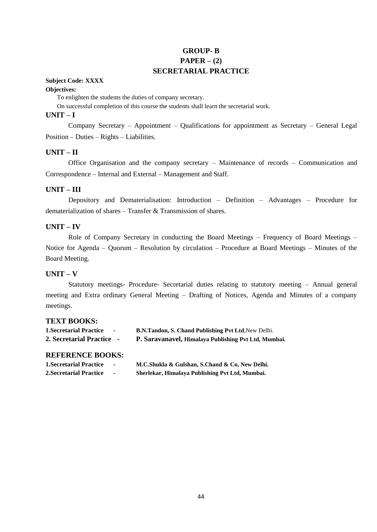#### **GROUP- B PAPER – (2) SECRETARIAL PRACTICE**

#### **Subject Code: XXXX**

#### **Objectives:**

To enlighten the students the duties of company secretary.

On successful completion of this course the students shall learn the secretarial work.

#### **UNIT – I**

Company Secretary – Appointment – Qualifications for appointment as Secretary – General Legal Position – Duties – Rights – Liabilities.

#### **UNIT – II**

Office Organisation and the company secretary – Maintenance of records – Communication and Correspondence – Internal and External – Management and Staff.

#### **UNIT – III**

Depository and Dematerialisation: Introduction – Definition – Advantages – Procedure for dematerialization of shares – Transfer & Transmission of shares.

#### **UNIT – IV**

Role of Company Secretary in conducting the Board Meetings – Frequency of Board Meetings – Notice for Agenda – Quorum – Resolution by circulation – Procedure at Board Meetings – Minutes of the Board Meeting.

#### **UNIT – V**

Statutory meetings- Procedure- Secretarial duties relating to statutory meeting – Annual general meeting and Extra ordinary General Meeting – Drafting of Notices, Agenda and Minutes of a company meetings.

#### **TEXT BOOKS:**

| <b>1. Secretarial Practice</b> | <b>B.N.Tandon, S. Chand Publishing Pvt Ltd. New Delhi.</b> |
|--------------------------------|------------------------------------------------------------|
| 2. Secretarial Practice -      | P. Saravanavel, Himalaya Publishing Pvt Ltd, Mumbai.       |

| <b>1. Secretarial Practice</b> | M.C.Shukla & Gulshan, S.Chand & Co, New Delhi.  |
|--------------------------------|-------------------------------------------------|
| <b>2.Secretarial Practice</b>  | Sherlekar, Himalaya Publishing Pvt Ltd, Mumbai. |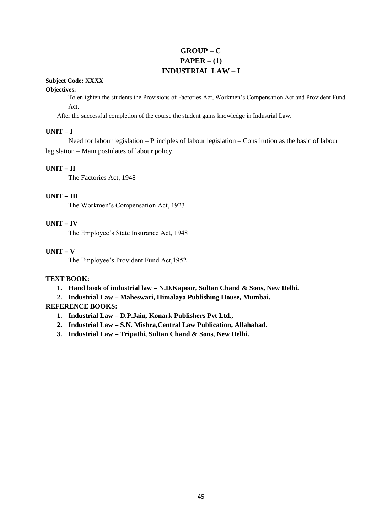#### **GROUP – C**  $PAPER - (1)$ **INDUSTRIAL LAW – I**

#### **Subject Code: XXXX**

#### **Objectives:**

To enlighten the students the Provisions of Factories Act, Workmen's Compensation Act and Provident Fund Act.

After the successful completion of the course the student gains knowledge in Industrial Law.

#### **UNIT – I**

Need for labour legislation – Principles of labour legislation – Constitution as the basic of labour legislation – Main postulates of labour policy.

#### **UNIT – II**

The Factories Act, 1948

#### **UNIT – III**

The Workmen's Compensation Act, 1923

#### **UNIT – IV**

The Employee's State Insurance Act, 1948

#### **UNIT – V**

The Employee's Provident Fund Act,1952

#### **TEXT BOOK:**

- **1. Hand book of industrial law – N.D.Kapoor, Sultan Chand & Sons, New Delhi.**
- **2. Industrial Law – Maheswari, Himalaya Publishing House, Mumbai.**

- **1. Industrial Law – D.P.Jain, Konark Publishers Pvt Ltd.,**
- **2. Industrial Law – S.N. Mishra,Central Law Publication, Allahabad.**
- **3. Industrial Law – Tripathi, Sultan Chand & Sons, New Delhi.**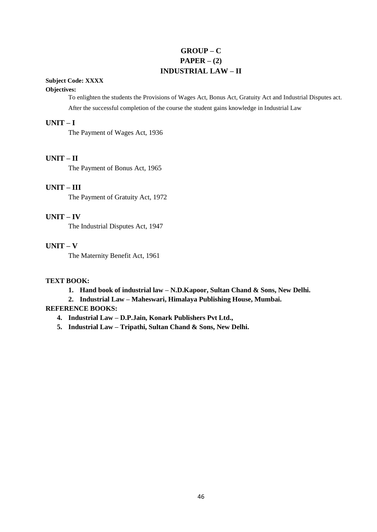### **GROUP – C**  $PAPER - (2)$ **INDUSTRIAL LAW – II**

#### **Subject Code: XXXX**

#### **Objectives:**

To enlighten the students the Provisions of Wages Act, Bonus Act, Gratuity Act and Industrial Disputes act. After the successful completion of the course the student gains knowledge in Industrial Law

#### **UNIT – I**

The Payment of Wages Act, 1936

#### **UNIT – II**

The Payment of Bonus Act, 1965

#### **UNIT – III**

The Payment of Gratuity Act, 1972

#### **UNIT – IV**

The Industrial Disputes Act, 1947

#### **UNIT – V**

The Maternity Benefit Act, 1961

#### **TEXT BOOK:**

- **1. Hand book of industrial law – N.D.Kapoor, Sultan Chand & Sons, New Delhi.**
- **2. Industrial Law – Maheswari, Himalaya Publishing House, Mumbai.**

- **4. Industrial Law – D.P.Jain, Konark Publishers Pvt Ltd.,**
- **5. Industrial Law – Tripathi, Sultan Chand & Sons, New Delhi.**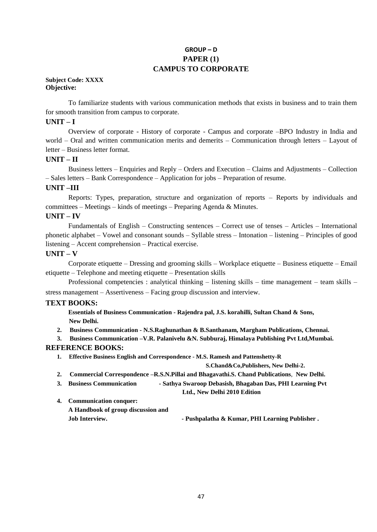#### **GROUP – D PAPER (1) CAMPUS TO CORPORATE**

#### **Subject Code: XXXX Objective:**

To familiarize students with various communication methods that exists in business and to train them for smooth transition from campus to corporate.

#### **UNIT – I**

Overview of corporate - History of corporate - Campus and corporate –BPO Industry in India and world – Oral and written communication merits and demerits – Communication through letters – Layout of letter – Business letter format.

#### **UNIT – II**

Business letters – Enquiries and Reply – Orders and Execution – Claims and Adjustments – Collection – Sales letters – Bank Correspondence – Application for jobs – Preparation of resume.

#### **UNIT –III**

Reports: Types, preparation, structure and organization of reports – Reports by individuals and committees – Meetings – kinds of meetings – Preparing Agenda & Minutes.

#### **UNIT – IV**

Fundamentals of English – Constructing sentences – Correct use of tenses – Articles – International phonetic alphabet – Vowel and consonant sounds – Syllable stress – Intonation – listening – Principles of good listening – Accent comprehension – Practical exercise.

#### **UNIT – V**

Corporate etiquette – Dressing and grooming skills – Workplace etiquette – Business etiquette – Email etiquette – Telephone and meeting etiquette – Presentation skills

Professional competencies : analytical thinking – listening skills – time management – team skills – stress management – Assertiveness – Facing group discussion and interview.

#### **TEXT BOOKS:**

**1. Essentials of Business Communication - Rajendra pal, J.S. korahilli, Sultan Chand & Sons, New Delhi.**

- **2. Business Communication - N.S.Raghunathan & B.Santhanam, Margham Publications, Chennai.**
- **3. Business Communication –V.R. Palanivelu &N. Subburaj, Himalaya Publishing Pvt Ltd,Mumbai.**

#### **REFERENCE BOOKS:**

**1. Effective Business English and Correspondence - M.S. Ramesh and Pattenshetty-R** 

**S.Chand&Co,Publishers, New Delhi-2.**

- **2. Commercial Correspondence –R.S.N.Pillai and Bhagavathi.S. Chand Publications**, **New Delhi.**
- **3. Business Communication - Sathya Swaroop Debasish, Bhagaban Das, PHI Learning Pvt**

```
Ltd., New Delhi 2010 Edition
```
**4. Communication conquer:**

**A Handbook of group discussion and**

**Job Interview. - Pushpalatha & Kumar, PHI Learning Publisher .**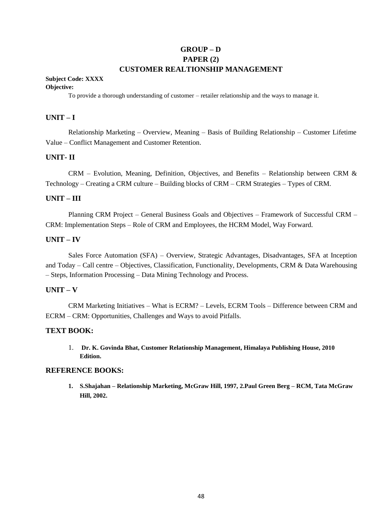#### **GROUP – D PAPER (2) CUSTOMER REALTIONSHIP MANAGEMENT**

#### **Subject Code: XXXX**

#### **Objective:**

To provide a thorough understanding of customer – retailer relationship and the ways to manage it.

#### **UNIT – I**

Relationship Marketing – Overview, Meaning – Basis of Building Relationship – Customer Lifetime Value – Conflict Management and Customer Retention.

#### **UNIT- II**

CRM – Evolution, Meaning, Definition, Objectives, and Benefits – Relationship between CRM & Technology – Creating a CRM culture – Building blocks of CRM – CRM Strategies – Types of CRM.

#### **UNIT – III**

Planning CRM Project – General Business Goals and Objectives – Framework of Successful CRM – CRM: Implementation Steps – Role of CRM and Employees, the HCRM Model, Way Forward.

#### **UNIT – IV**

Sales Force Automation (SFA) – Overview, Strategic Advantages, Disadvantages, SFA at Inception and Today – Call centre – Objectives, Classification, Functionality, Developments, CRM & Data Warehousing – Steps, Information Processing – Data Mining Technology and Process.

#### **UNIT – V**

CRM Marketing Initiatives – What is ECRM? – Levels, ECRM Tools – Difference between CRM and ECRM – CRM: Opportunities, Challenges and Ways to avoid Pitfalls.

#### **TEXT BOOK:**

1. **Dr. K. Govinda Bhat, Customer Relationship Management, Himalaya Publishing House, 2010 Edition.**

#### **REFERENCE BOOKS:**

**1. S.Shajahan – Relationship Marketing, McGraw Hill, 1997, 2.Paul Green Berg – RCM, Tata McGraw Hill, 2002.**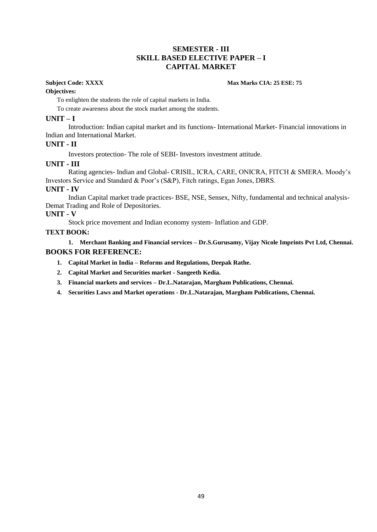#### **SEMESTER - III SKILL BASED ELECTIVE PAPER – I CAPITAL MARKET**

#### **Subject Code: XXXX Max Marks CIA: 25 ESE: 75**

#### **Objectives:**

To enlighten the students the role of capital markets in India.

To create awareness about the stock market among the students.

#### **UNIT – I**

Introduction: Indian capital market and its functions- International Market- Financial innovations in Indian and International Market.

#### **UNIT - II**

Investors protection- The role of SEBI- Investors investment attitude.

#### **UNIT - III**

Rating agencies- Indian and Global- CRISIL, ICRA, CARE, ONICRA, FITCH & SMERA. Moody's Investors Service and Standard & Poor's (S&P), Fitch ratings, Egan Jones, DBRS.

#### **UNIT - IV**

Indian Capital market trade practices- BSE, NSE, Sensex, Nifty, fundamental and technical analysis-Demat Trading and Role of Depositories.

#### **UNIT - V**

Stock price movement and Indian economy system- Inflation and GDP.

#### **TEXT BOOK:**

**1. Merchant Banking and Financial services – Dr.S.Gurusamy, Vijay Nicole Imprints Pvt Ltd, Chennai. BOOKS FOR REFERENCE:**

- **1. Capital Market in India – Reforms and Regulations, Deepak Rathe.**
- **2. Capital Market and Securities market - Sangeeth Kedia.**
- **3. Financial markets and services – Dr.L.Natarajan, Margham Publications, Chennai.**
- **4. Securities Laws and Market operations - Dr.L.Natarajan, Margham Publications, Chennai.**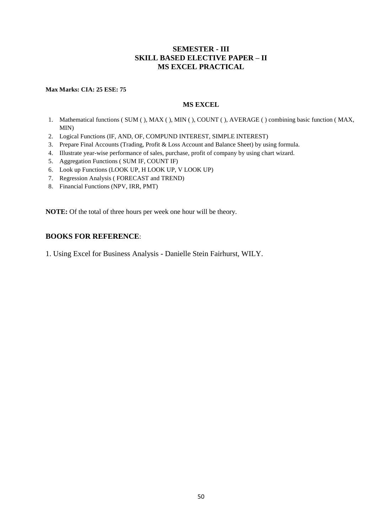#### **SEMESTER - III SKILL BASED ELECTIVE PAPER – II MS EXCEL PRACTICAL**

#### **Max Marks: CIA: 25 ESE: 75**

#### **MS EXCEL**

- 1. Mathematical functions ( SUM ( ), MAX ( ), MIN ( ), COUNT ( ), AVERAGE ( ) combining basic function ( MAX, MIN)
- 2. Logical Functions (IF, AND, OF, COMPUND INTEREST, SIMPLE INTEREST)
- 3. Prepare Final Accounts (Trading, Profit & Loss Account and Balance Sheet) by using formula.
- 4. Illustrate year-wise performance of sales, purchase, profit of company by using chart wizard.
- 5. Aggregation Functions ( SUM IF, COUNT IF)
- 6. Look up Functions (LOOK UP, H LOOK UP, V LOOK UP)
- 7. Regression Analysis ( FORECAST and TREND)
- 8. Financial Functions (NPV, IRR, PMT)

**NOTE:** Of the total of three hours per week one hour will be theory.

#### **BOOKS FOR REFERENCE**:

1. Using Excel for Business Analysis - Danielle Stein Fairhurst, WILY.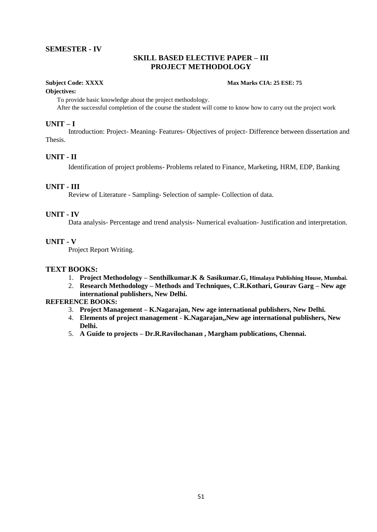#### **SEMESTER - IV**

#### **SKILL BASED ELECTIVE PAPER – III PROJECT METHODOLOGY**

#### **Subject Code: XXXX Max Marks CIA: 25 ESE: 75**

#### **Objectives:**

To provide basic knowledge about the project methodology.

After the successful completion of the course the student will come to know how to carry out the project work

#### **UNIT – I**

Introduction: Project- Meaning- Features- Objectives of project- Difference between dissertation and Thesis.

#### **UNIT - II**

Identification of project problems- Problems related to Finance, Marketing, HRM, EDP, Banking

#### **UNIT - III**

Review of Literature - Sampling- Selection of sample- Collection of data.

#### **UNIT - IV**

Data analysis- Percentage and trend analysis- Numerical evaluation- Justification and interpretation.

#### **UNIT - V**

Project Report Writing.

#### **TEXT BOOKS:**

- 1. **Project Methodology – Senthilkumar.K & Sasikumar.G, Himalaya Publishing House, Mumbai.**
- 2. **Research Methodology – Methods and Techniques, C.R.Kothari, Gourav Garg – New age international publishers, New Delhi.**

- 3. **Project Management – K.Nagarajan, New age international publishers, New Delhi.**
- 4. **Elements of project management - K.Nagarajan,,New age international publishers, New Delhi.**
- 5. **A Guide to projects – Dr.R.Ravilochanan , Margham publications, Chennai.**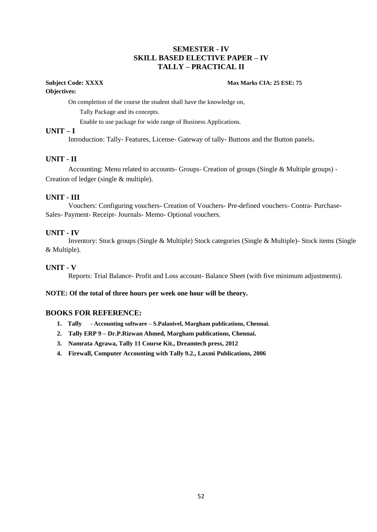#### **SEMESTER - IV SKILL BASED ELECTIVE PAPER – IV TALLY – PRACTICAL II**

## **Objectives:**

#### **Subject Code: XXXX Max Marks CIA: 25 ESE: 75**

On completion of the course the student shall have the knowledge on,

Tally Package and its concepts.

Enable to use package for wide range of Business Applications.

#### **UNIT – I**

Introduction: Tally- Features, License- Gateway of tally- Buttons and the Button panels**.**

#### **UNIT - II**

Accounting: Menu related to accounts- Groups- Creation of groups (Single & Multiple groups) - Creation of ledger (single & multiple).

#### **UNIT - III**

Vouchers: Configuring vouchers- Creation of Vouchers- Pre-defined vouchers- Contra- Purchase-Sales- Payment- Receipt- Journals- Memo- Optional vouchers.

#### **UNIT - IV**

Inventory: Stock groups (Single & Multiple) Stock categories (Single & Multiple)- Stock items (Single & Multiple).

#### **UNIT - V**

Reports: Trial Balance- Profit and Loss account- Balance Sheet (with five minimum adjustments).

#### **NOTE: Of the total of three hours per week one hour will be theory.**

#### **BOOKS FOR REFERENCE:**

- **1. Tally - Accounting software – S.Palanivel, Margham publications, Chennai.**
- **2. Tally ERP 9 – Dr.P.Rizwan Ahmed, Margham publications, Chennai.**
- **3. Namrata Agrawa, Tally 11 Course Kit., Dreamtech press, 2012**
- **4. Firewall, Computer Accounting with Tally 9.2., Laxmi Publications, 2006**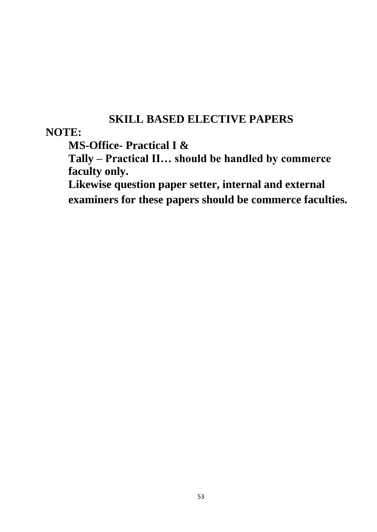## **SKILL BASED ELECTIVE PAPERS**

## **NOTE:**

**MS-Office- Practical I &**

**Tally – Practical II… should be handled by commerce faculty only.**

**Likewise question paper setter, internal and external examiners for these papers should be commerce faculties.**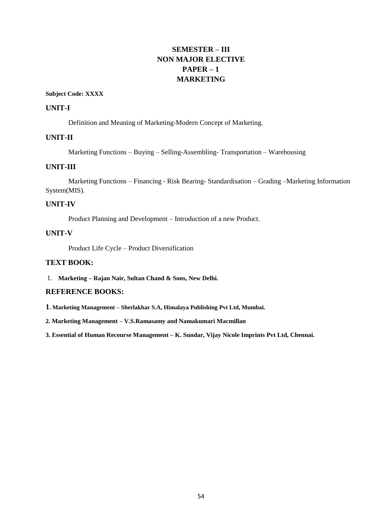## **SEMESTER – III NON MAJOR ELECTIVE PAPER – 1 MARKETING**

#### **Subject Code: XXXX**

#### **UNIT-I**

Definition and Meaning of Marketing-Modern Concept of Marketing.

#### **UNIT-II**

Marketing Functions – Buying – Selling-Assembling- Transportation – Warehousing

#### **UNIT-III**

Marketing Functions – Financing - Risk Bearing- Standardisation – Grading –Marketing Information System(MIS).

#### **UNIT-IV**

Product Planning and Development – Introduction of a new Product.

#### **UNIT-V**

Product Life Cycle – Product Diversification

#### **TEXT BOOK:**

1. **Marketing – Rajan Nair, Sultan Chand & Sons, New Delhi.**

#### **REFERENCE BOOKS:**

**1. Marketing Management – Sherlakhar S.A, Himalaya Publishing Pvt Ltd, Mumbai.**

**2. Marketing Management – V.S.Ramasamy and Namakumari Macmillan**

**3. Essential of Human Recourse Management – K. Sundar, Vijay Nicole Imprints Pvt Ltd, Chennai.**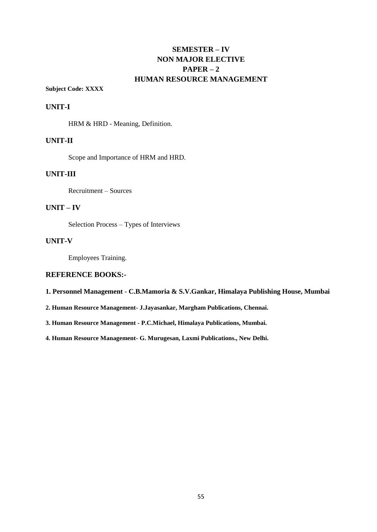### **SEMESTER – IV NON MAJOR ELECTIVE PAPER – 2 HUMAN RESOURCE MANAGEMENT**

#### **Subject Code: XXXX**

#### **UNIT-I**

HRM & HRD - Meaning, Definition.

#### **UNIT-II**

Scope and Importance of HRM and HRD.

#### **UNIT-III**

Recruitment – Sources

#### **UNIT – IV**

Selection Process – Types of Interviews

#### **UNIT-V**

Employees Training.

#### **REFERENCE BOOKS:-**

**1. Personnel Management - C.B.Mamoria & S.V.Gankar, Himalaya Publishing House, Mumbai**

**2. Human Resource Management- J.Jayasankar, Margham Publications, Chennai.**

**3. Human Resource Management - P.C.Michael, Himalaya Publications, Mumbai.**

**4. Human Resource Management- G. Murugesan, Laxmi Publications., New Delhi.**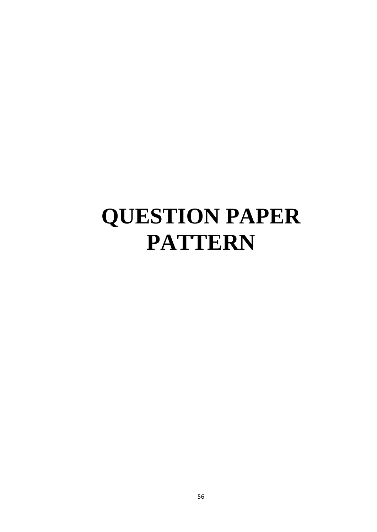# **QUESTION PAPER PATTERN**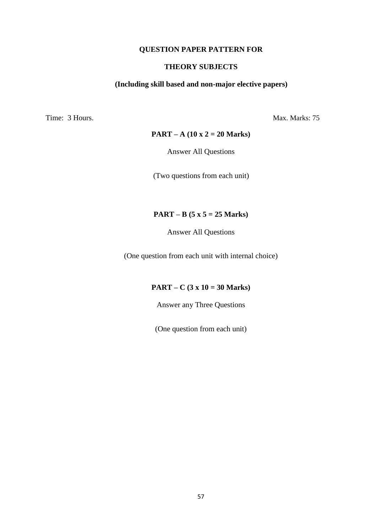#### **QUESTION PAPER PATTERN FOR**

#### **THEORY SUBJECTS**

#### **(Including skill based and non-major elective papers)**

Time: 3 Hours. Max. Marks: 75

#### **PART – A (10 x 2 = 20 Marks)**

Answer All Questions

(Two questions from each unit)

#### **PART – B (5 x 5 = 25 Marks)**

Answer All Questions

(One question from each unit with internal choice)

#### **PART – C (3 x 10 = 30 Marks)**

Answer any Three Questions

(One question from each unit)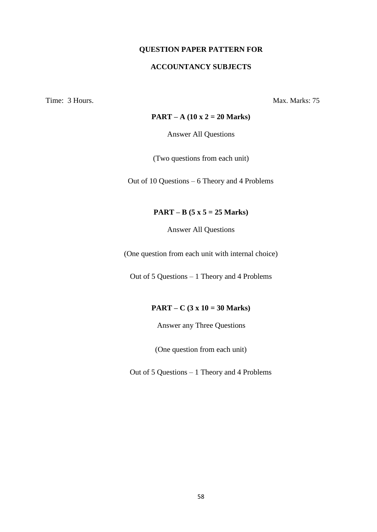#### **QUESTION PAPER PATTERN FOR**

#### **ACCOUNTANCY SUBJECTS**

Time: 3 Hours. Max. Marks: 75

#### **PART – A (10 x 2 = 20 Marks)**

Answer All Questions

(Two questions from each unit)

Out of 10 Questions – 6 Theory and 4 Problems

#### **PART – B (5 x 5 = 25 Marks)**

Answer All Questions

(One question from each unit with internal choice)

Out of 5 Questions – 1 Theory and 4 Problems

#### **PART – C (3 x 10 = 30 Marks)**

Answer any Three Questions

(One question from each unit)

Out of 5 Questions – 1 Theory and 4 Problems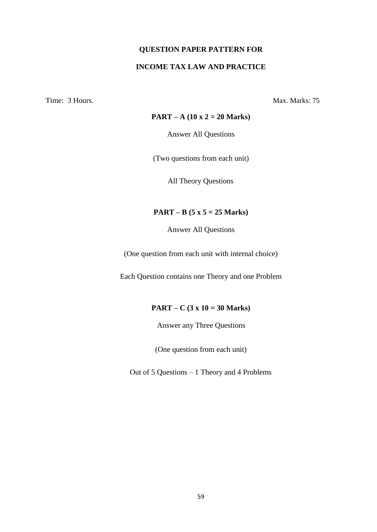## **QUESTION PAPER PATTERN FOR INCOME TAX LAW AND PRACTICE**

Time: 3 Hours. Max. Marks: 75

#### **PART – A (10 x 2 = 20 Marks)**

Answer All Questions

(Two questions from each unit)

All Theory Questions

#### **PART – B (5 x 5 = 25 Marks)**

Answer All Questions

(One question from each unit with internal choice)

Each Question contains one Theory and one Problem

#### **PART – C (3 x 10 = 30 Marks)**

Answer any Three Questions

(One question from each unit)

Out of 5 Questions – 1 Theory and 4 Problems